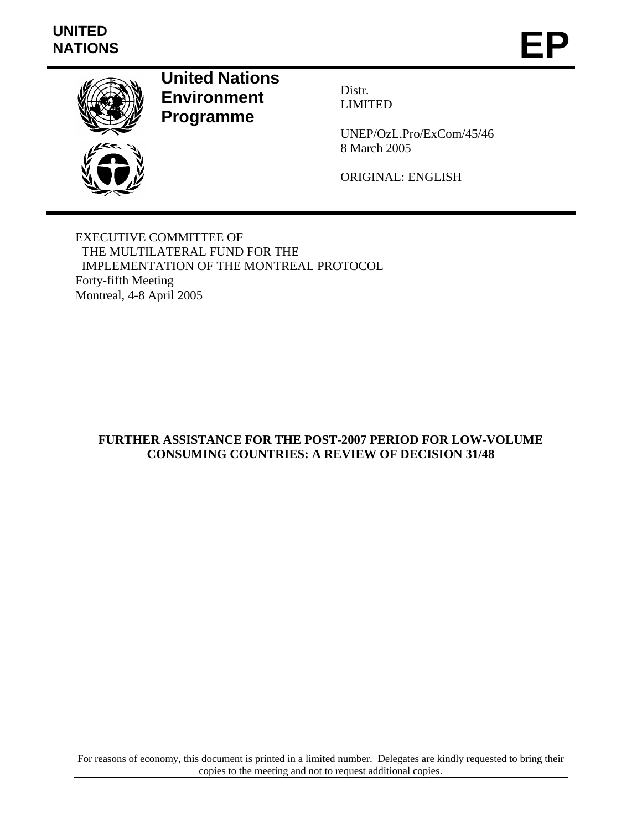# **UNITED**  UNITED<br>NATIONS **EP**



**United Nations Environment Programme** 

Distr. LIMITED

UNEP/OzL.Pro/ExCom/45/46 8 March 2005

ORIGINAL: ENGLISH

EXECUTIVE COMMITTEE OF THE MULTILATERAL FUND FOR THE IMPLEMENTATION OF THE MONTREAL PROTOCOL Forty-fifth Meeting Montreal, 4-8 April 2005

## **FURTHER ASSISTANCE FOR THE POST-2007 PERIOD FOR LOW-VOLUME CONSUMING COUNTRIES: A REVIEW OF DECISION 31/48**

For reasons of economy, this document is printed in a limited number. Delegates are kindly requested to bring their copies to the meeting and not to request additional copies.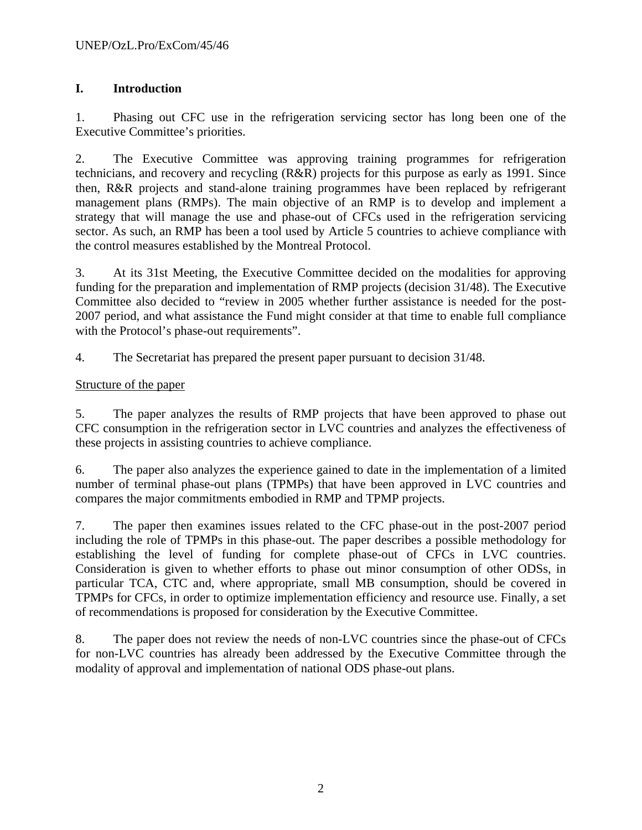# **I. Introduction**

1. Phasing out CFC use in the refrigeration servicing sector has long been one of the Executive Committee's priorities.

2. The Executive Committee was approving training programmes for refrigeration technicians, and recovery and recycling (R&R) projects for this purpose as early as 1991. Since then, R&R projects and stand-alone training programmes have been replaced by refrigerant management plans (RMPs). The main objective of an RMP is to develop and implement a strategy that will manage the use and phase-out of CFCs used in the refrigeration servicing sector. As such, an RMP has been a tool used by Article 5 countries to achieve compliance with the control measures established by the Montreal Protocol.

3. At its 31st Meeting, the Executive Committee decided on the modalities for approving funding for the preparation and implementation of RMP projects (decision 31/48). The Executive Committee also decided to "review in 2005 whether further assistance is needed for the post-2007 period, and what assistance the Fund might consider at that time to enable full compliance with the Protocol's phase-out requirements".

4. The Secretariat has prepared the present paper pursuant to decision 31/48.

### Structure of the paper

5. The paper analyzes the results of RMP projects that have been approved to phase out CFC consumption in the refrigeration sector in LVC countries and analyzes the effectiveness of these projects in assisting countries to achieve compliance.

6. The paper also analyzes the experience gained to date in the implementation of a limited number of terminal phase-out plans (TPMPs) that have been approved in LVC countries and compares the major commitments embodied in RMP and TPMP projects.

7. The paper then examines issues related to the CFC phase-out in the post-2007 period including the role of TPMPs in this phase-out. The paper describes a possible methodology for establishing the level of funding for complete phase-out of CFCs in LVC countries. Consideration is given to whether efforts to phase out minor consumption of other ODSs, in particular TCA, CTC and, where appropriate, small MB consumption, should be covered in TPMPs for CFCs, in order to optimize implementation efficiency and resource use. Finally, a set of recommendations is proposed for consideration by the Executive Committee.

8. The paper does not review the needs of non-LVC countries since the phase-out of CFCs for non-LVC countries has already been addressed by the Executive Committee through the modality of approval and implementation of national ODS phase-out plans.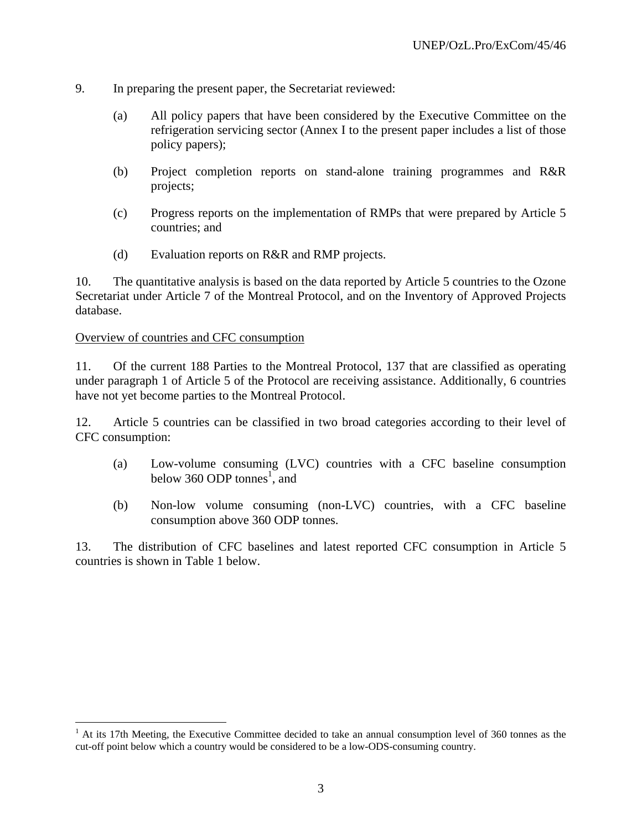- 9. In preparing the present paper, the Secretariat reviewed:
	- (a) All policy papers that have been considered by the Executive Committee on the refrigeration servicing sector (Annex I to the present paper includes a list of those policy papers);
	- (b) Project completion reports on stand-alone training programmes and R&R projects;
	- (c) Progress reports on the implementation of RMPs that were prepared by Article 5 countries; and
	- (d) Evaluation reports on R&R and RMP projects.

10. The quantitative analysis is based on the data reported by Article 5 countries to the Ozone Secretariat under Article 7 of the Montreal Protocol, and on the Inventory of Approved Projects database.

#### Overview of countries and CFC consumption

<u>.</u>

11. Of the current 188 Parties to the Montreal Protocol, 137 that are classified as operating under paragraph 1 of Article 5 of the Protocol are receiving assistance. Additionally, 6 countries have not yet become parties to the Montreal Protocol.

12. Article 5 countries can be classified in two broad categories according to their level of CFC consumption:

- (a) Low-volume consuming (LVC) countries with a CFC baseline consumption below 360 ODP tonnes<sup>1</sup>, and
- (b) Non-low volume consuming (non-LVC) countries, with a CFC baseline consumption above 360 ODP tonnes.

13. The distribution of CFC baselines and latest reported CFC consumption in Article 5 countries is shown in Table 1 below.

 $<sup>1</sup>$  At its 17th Meeting, the Executive Committee decided to take an annual consumption level of 360 tonnes as the</sup> cut-off point below which a country would be considered to be a low-ODS-consuming country.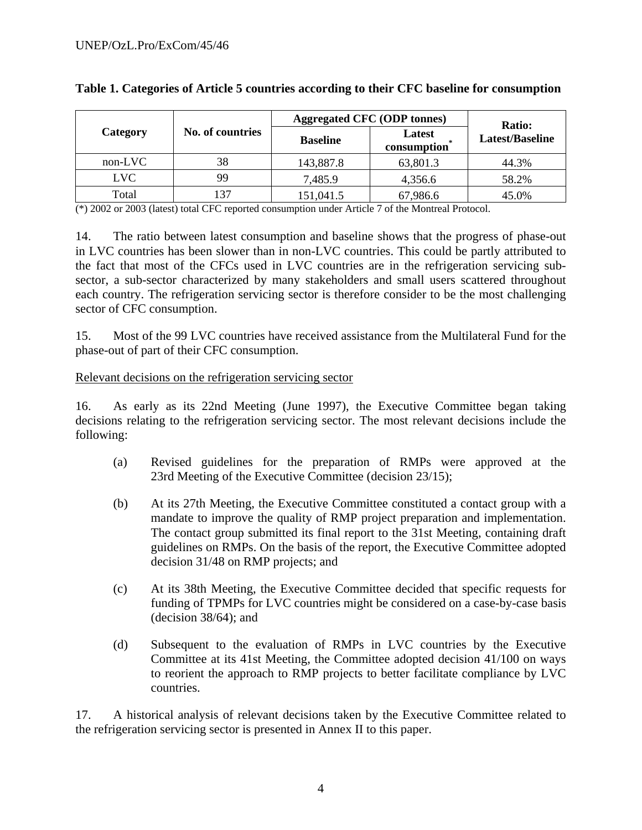|           |                  | <b>Aggregated CFC (ODP tonnes)</b> | Ratio:                |                 |  |
|-----------|------------------|------------------------------------|-----------------------|-----------------|--|
| Category  | No. of countries | <b>Baseline</b>                    | Latest<br>consumption | Latest/Baseline |  |
| $non-LVC$ | 38               | 143,887.8                          | 63,801.3              | 44.3%           |  |
| LVC       | 99               | 7,485.9                            | 4,356.6               | 58.2%           |  |
| Total     | 37               | 151,041.5                          | 67,986.6              | 45.0%           |  |

|  |  |  |  | Table 1. Categories of Article 5 countries according to their CFC baseline for consumption |
|--|--|--|--|--------------------------------------------------------------------------------------------|
|  |  |  |  |                                                                                            |

(\*) 2002 or 2003 (latest) total CFC reported consumption under Article 7 of the Montreal Protocol.

14. The ratio between latest consumption and baseline shows that the progress of phase-out in LVC countries has been slower than in non-LVC countries. This could be partly attributed to the fact that most of the CFCs used in LVC countries are in the refrigeration servicing subsector, a sub-sector characterized by many stakeholders and small users scattered throughout each country. The refrigeration servicing sector is therefore consider to be the most challenging sector of CFC consumption.

15. Most of the 99 LVC countries have received assistance from the Multilateral Fund for the phase-out of part of their CFC consumption.

#### Relevant decisions on the refrigeration servicing sector

16. As early as its 22nd Meeting (June 1997), the Executive Committee began taking decisions relating to the refrigeration servicing sector. The most relevant decisions include the following:

- (a) Revised guidelines for the preparation of RMPs were approved at the 23rd Meeting of the Executive Committee (decision 23/15);
- (b) At its 27th Meeting, the Executive Committee constituted a contact group with a mandate to improve the quality of RMP project preparation and implementation. The contact group submitted its final report to the 31st Meeting, containing draft guidelines on RMPs. On the basis of the report, the Executive Committee adopted decision 31/48 on RMP projects; and
- (c) At its 38th Meeting, the Executive Committee decided that specific requests for funding of TPMPs for LVC countries might be considered on a case-by-case basis (decision 38/64); and
- (d) Subsequent to the evaluation of RMPs in LVC countries by the Executive Committee at its 41st Meeting, the Committee adopted decision 41/100 on ways to reorient the approach to RMP projects to better facilitate compliance by LVC countries.

17. A historical analysis of relevant decisions taken by the Executive Committee related to the refrigeration servicing sector is presented in Annex II to this paper.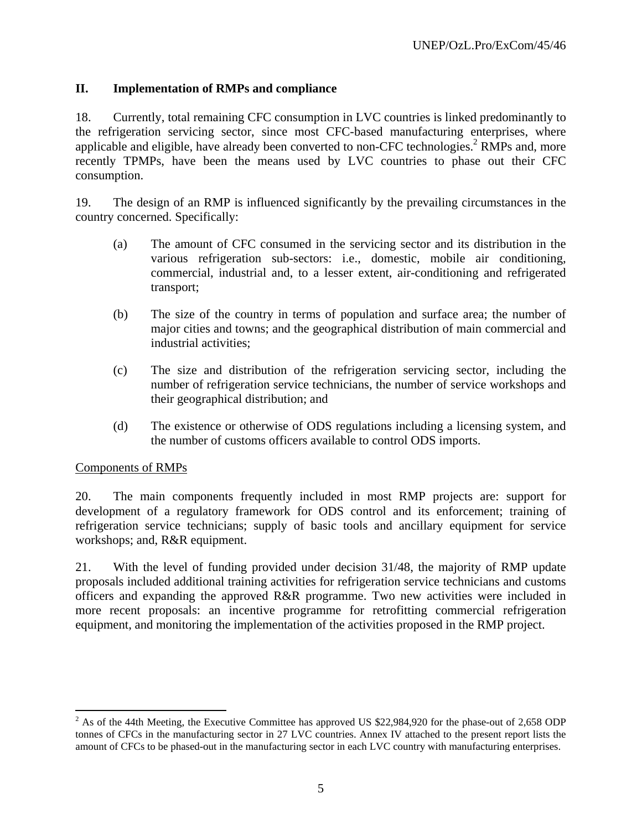## **II. Implementation of RMPs and compliance**

18. Currently, total remaining CFC consumption in LVC countries is linked predominantly to the refrigeration servicing sector, since most CFC-based manufacturing enterprises, where applicable and eligible, have already been converted to non-CFC technologies.<sup>2</sup> RMPs and, more recently TPMPs, have been the means used by LVC countries to phase out their CFC consumption.

19. The design of an RMP is influenced significantly by the prevailing circumstances in the country concerned. Specifically:

- (a) The amount of CFC consumed in the servicing sector and its distribution in the various refrigeration sub-sectors: i.e., domestic, mobile air conditioning, commercial, industrial and, to a lesser extent, air-conditioning and refrigerated transport;
- (b) The size of the country in terms of population and surface area; the number of major cities and towns; and the geographical distribution of main commercial and industrial activities;
- (c) The size and distribution of the refrigeration servicing sector, including the number of refrigeration service technicians, the number of service workshops and their geographical distribution; and
- (d) The existence or otherwise of ODS regulations including a licensing system, and the number of customs officers available to control ODS imports.

#### Components of RMPs

 $\overline{a}$ 

20. The main components frequently included in most RMP projects are: support for development of a regulatory framework for ODS control and its enforcement; training of refrigeration service technicians; supply of basic tools and ancillary equipment for service workshops; and, R&R equipment.

21. With the level of funding provided under decision 31/48, the majority of RMP update proposals included additional training activities for refrigeration service technicians and customs officers and expanding the approved R&R programme. Two new activities were included in more recent proposals: an incentive programme for retrofitting commercial refrigeration equipment, and monitoring the implementation of the activities proposed in the RMP project.

 $2^{2}$  As of the 44th Meeting, the Executive Committee has approved US \$22,984,920 for the phase-out of 2,658 ODP tonnes of CFCs in the manufacturing sector in 27 LVC countries. Annex IV attached to the present report lists the amount of CFCs to be phased-out in the manufacturing sector in each LVC country with manufacturing enterprises.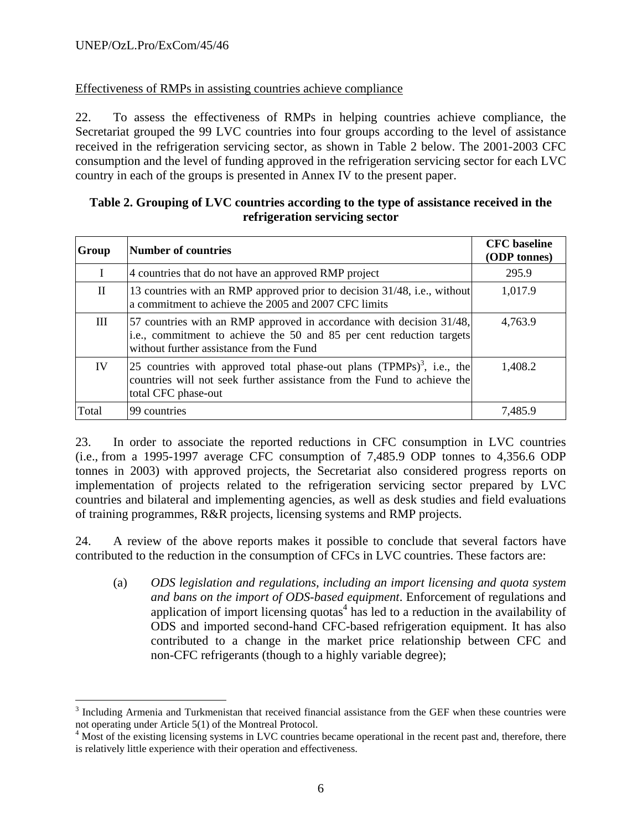<u>.</u>

#### Effectiveness of RMPs in assisting countries achieve compliance

22. To assess the effectiveness of RMPs in helping countries achieve compliance, the Secretariat grouped the 99 LVC countries into four groups according to the level of assistance received in the refrigeration servicing sector, as shown in Table 2 below. The 2001-2003 CFC consumption and the level of funding approved in the refrigeration servicing sector for each LVC country in each of the groups is presented in Annex IV to the present paper.

#### **Table 2. Grouping of LVC countries according to the type of assistance received in the refrigeration servicing sector**

| Group        | <b>Number of countries</b>                                                                                                                                                               | <b>CFC</b> baseline<br>(ODP tonnes) |
|--------------|------------------------------------------------------------------------------------------------------------------------------------------------------------------------------------------|-------------------------------------|
|              | 4 countries that do not have an approved RMP project                                                                                                                                     | 295.9                               |
| $\mathbf{H}$ | 13 countries with an RMP approved prior to decision 31/48, i.e., without<br>a commitment to achieve the 2005 and 2007 CFC limits                                                         | 1,017.9                             |
| Ш            | 57 countries with an RMP approved in accordance with decision 31/48,<br>i.e., commitment to achieve the 50 and 85 per cent reduction targets<br>without further assistance from the Fund | 4,763.9                             |
| IV           | 25 countries with approved total phase-out plans $(TPMPs)^3$ , i.e., the<br>countries will not seek further assistance from the Fund to achieve the<br>total CFC phase-out               | 1,408.2                             |
| Total        | 99 countries                                                                                                                                                                             | 7,485.9                             |

23. In order to associate the reported reductions in CFC consumption in LVC countries (i.e., from a 1995-1997 average CFC consumption of 7,485.9 ODP tonnes to 4,356.6 ODP tonnes in 2003) with approved projects, the Secretariat also considered progress reports on implementation of projects related to the refrigeration servicing sector prepared by LVC countries and bilateral and implementing agencies, as well as desk studies and field evaluations of training programmes, R&R projects, licensing systems and RMP projects.

24. A review of the above reports makes it possible to conclude that several factors have contributed to the reduction in the consumption of CFCs in LVC countries. These factors are:

(a) *ODS legislation and regulations, including an import licensing and quota system and bans on the import of ODS-based equipment*. Enforcement of regulations and application of import licensing quotas<sup>4</sup> has led to a reduction in the availability of ODS and imported second-hand CFC-based refrigeration equipment. It has also contributed to a change in the market price relationship between CFC and non-CFC refrigerants (though to a highly variable degree);

<sup>&</sup>lt;sup>3</sup> Including Armenia and Turkmenistan that received financial assistance from the GEF when these countries were not operating under Article 5(1) of the Montreal Protocol.

<sup>&</sup>lt;sup>4</sup> Most of the existing licensing systems in LVC countries became operational in the recent past and, therefore, there is relatively little experience with their operation and effectiveness.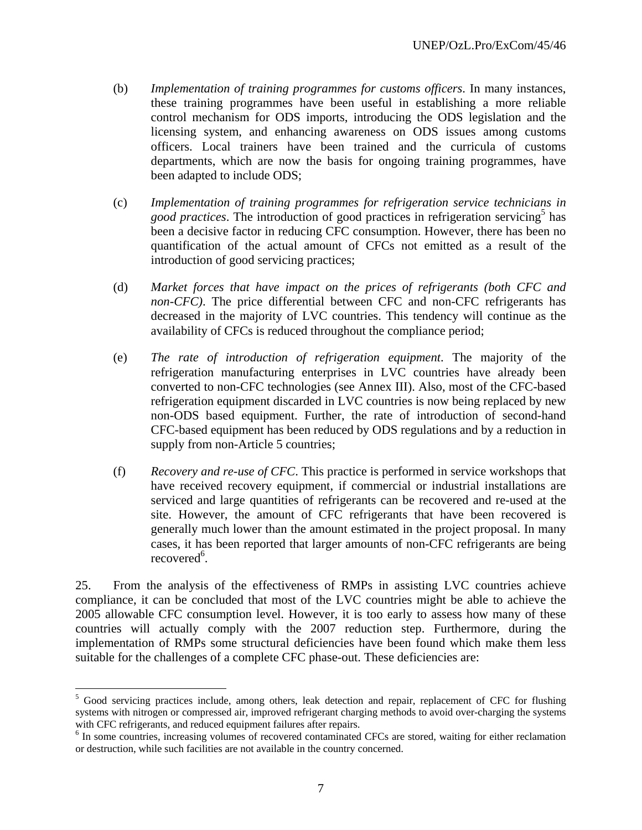- (b) *Implementation of training programmes for customs officers*. In many instances, these training programmes have been useful in establishing a more reliable control mechanism for ODS imports, introducing the ODS legislation and the licensing system, and enhancing awareness on ODS issues among customs officers. Local trainers have been trained and the curricula of customs departments, which are now the basis for ongoing training programmes, have been adapted to include ODS;
- (c) *Implementation of training programmes for refrigeration service technicians in*  good practices. The introduction of good practices in refrigeration servicing<sup>5</sup> has been a decisive factor in reducing CFC consumption. However, there has been no quantification of the actual amount of CFCs not emitted as a result of the introduction of good servicing practices;
- (d) *Market forces that have impact on the prices of refrigerants (both CFC and non-CFC)*. The price differential between CFC and non-CFC refrigerants has decreased in the majority of LVC countries. This tendency will continue as the availability of CFCs is reduced throughout the compliance period;
- (e) *The rate of introduction of refrigeration equipment*. The majority of the refrigeration manufacturing enterprises in LVC countries have already been converted to non-CFC technologies (see Annex III). Also, most of the CFC-based refrigeration equipment discarded in LVC countries is now being replaced by new non-ODS based equipment. Further, the rate of introduction of second-hand CFC-based equipment has been reduced by ODS regulations and by a reduction in supply from non-Article 5 countries;
- (f) *Recovery and re-use of CFC*. This practice is performed in service workshops that have received recovery equipment, if commercial or industrial installations are serviced and large quantities of refrigerants can be recovered and re-used at the site. However, the amount of CFC refrigerants that have been recovered is generally much lower than the amount estimated in the project proposal. In many cases, it has been reported that larger amounts of non-CFC refrigerants are being recovered<sup>6</sup>.

25. From the analysis of the effectiveness of RMPs in assisting LVC countries achieve compliance, it can be concluded that most of the LVC countries might be able to achieve the 2005 allowable CFC consumption level. However, it is too early to assess how many of these countries will actually comply with the 2007 reduction step. Furthermore, during the implementation of RMPs some structural deficiencies have been found which make them less suitable for the challenges of a complete CFC phase-out. These deficiencies are:

 $\overline{a}$ 

<sup>&</sup>lt;sup>5</sup> Good servicing practices include, among others, leak detection and repair, replacement of CFC for flushing systems with nitrogen or compressed air, improved refrigerant charging methods to avoid over-charging the systems with CFC refrigerants, and reduced equipment failures after repairs.

<sup>&</sup>lt;sup>6</sup> In some countries, increasing volumes of recovered contaminated CFCs are stored, waiting for either reclamation or destruction, while such facilities are not available in the country concerned.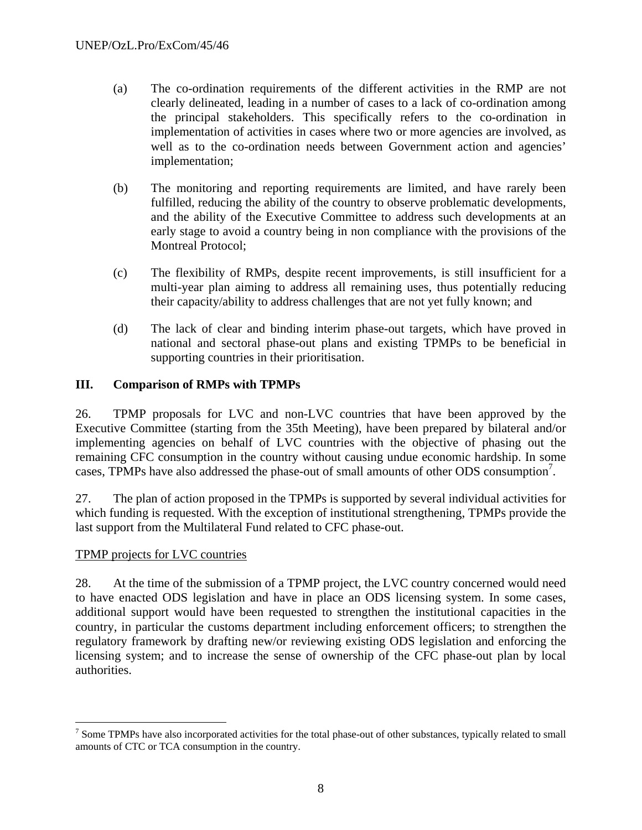- (a) The co-ordination requirements of the different activities in the RMP are not clearly delineated, leading in a number of cases to a lack of co-ordination among the principal stakeholders. This specifically refers to the co-ordination in implementation of activities in cases where two or more agencies are involved, as well as to the co-ordination needs between Government action and agencies' implementation;
- (b) The monitoring and reporting requirements are limited, and have rarely been fulfilled, reducing the ability of the country to observe problematic developments, and the ability of the Executive Committee to address such developments at an early stage to avoid a country being in non compliance with the provisions of the Montreal Protocol;
- (c) The flexibility of RMPs, despite recent improvements, is still insufficient for a multi-year plan aiming to address all remaining uses, thus potentially reducing their capacity/ability to address challenges that are not yet fully known; and
- (d) The lack of clear and binding interim phase-out targets, which have proved in national and sectoral phase-out plans and existing TPMPs to be beneficial in supporting countries in their prioritisation.

### **III. Comparison of RMPs with TPMPs**

26. TPMP proposals for LVC and non-LVC countries that have been approved by the Executive Committee (starting from the 35th Meeting), have been prepared by bilateral and/or implementing agencies on behalf of LVC countries with the objective of phasing out the remaining CFC consumption in the country without causing undue economic hardship. In some cases, TPMPs have also addressed the phase-out of small amounts of other ODS consumption<sup>7</sup>.

27. The plan of action proposed in the TPMPs is supported by several individual activities for which funding is requested. With the exception of institutional strengthening, TPMPs provide the last support from the Multilateral Fund related to CFC phase-out.

### TPMP projects for LVC countries

 $\overline{a}$ 

28. At the time of the submission of a TPMP project, the LVC country concerned would need to have enacted ODS legislation and have in place an ODS licensing system. In some cases, additional support would have been requested to strengthen the institutional capacities in the country, in particular the customs department including enforcement officers; to strengthen the regulatory framework by drafting new/or reviewing existing ODS legislation and enforcing the licensing system; and to increase the sense of ownership of the CFC phase-out plan by local authorities.

 $<sup>7</sup>$  Some TPMPs have also incorporated activities for the total phase-out of other substances, typically related to small</sup> amounts of CTC or TCA consumption in the country.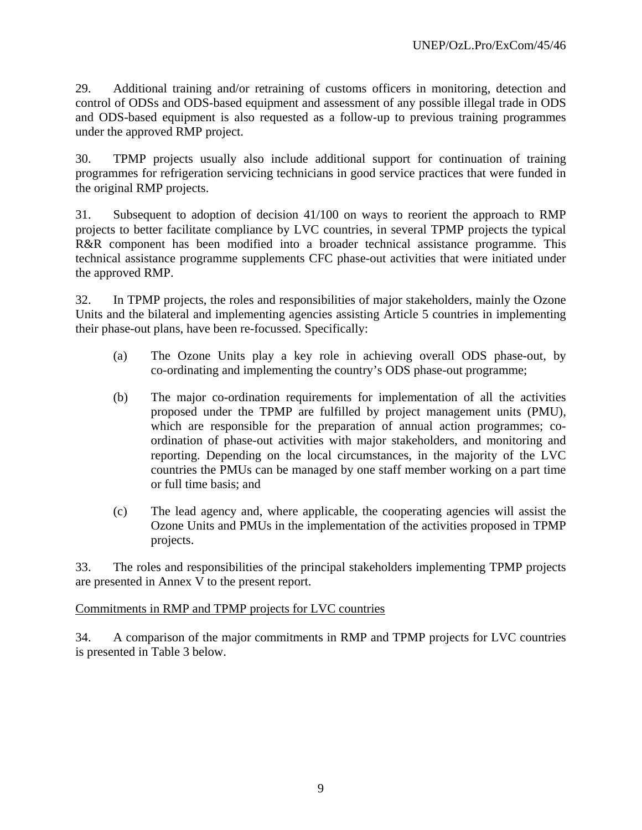29. Additional training and/or retraining of customs officers in monitoring, detection and control of ODSs and ODS-based equipment and assessment of any possible illegal trade in ODS and ODS-based equipment is also requested as a follow-up to previous training programmes under the approved RMP project.

30. TPMP projects usually also include additional support for continuation of training programmes for refrigeration servicing technicians in good service practices that were funded in the original RMP projects.

31. Subsequent to adoption of decision 41/100 on ways to reorient the approach to RMP projects to better facilitate compliance by LVC countries, in several TPMP projects the typical R&R component has been modified into a broader technical assistance programme. This technical assistance programme supplements CFC phase-out activities that were initiated under the approved RMP.

32. In TPMP projects, the roles and responsibilities of major stakeholders, mainly the Ozone Units and the bilateral and implementing agencies assisting Article 5 countries in implementing their phase-out plans, have been re-focussed. Specifically:

- (a) The Ozone Units play a key role in achieving overall ODS phase-out, by co-ordinating and implementing the country's ODS phase-out programme;
- (b) The major co-ordination requirements for implementation of all the activities proposed under the TPMP are fulfilled by project management units (PMU), which are responsible for the preparation of annual action programmes; coordination of phase-out activities with major stakeholders, and monitoring and reporting. Depending on the local circumstances, in the majority of the LVC countries the PMUs can be managed by one staff member working on a part time or full time basis; and
- (c) The lead agency and, where applicable, the cooperating agencies will assist the Ozone Units and PMUs in the implementation of the activities proposed in TPMP projects.

33. The roles and responsibilities of the principal stakeholders implementing TPMP projects are presented in Annex V to the present report.

### Commitments in RMP and TPMP projects for LVC countries

34. A comparison of the major commitments in RMP and TPMP projects for LVC countries is presented in Table 3 below.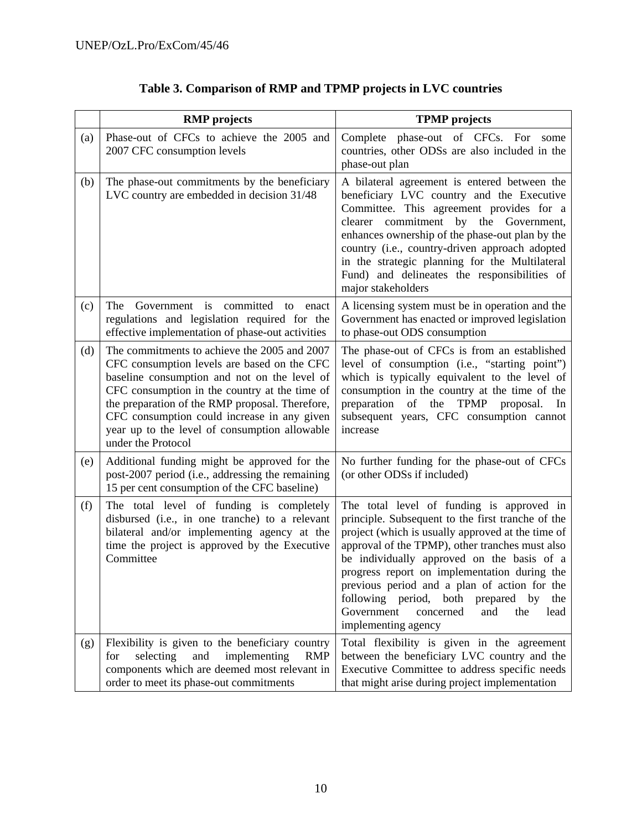|     | <b>RMP</b> projects                                                                                                                                                                                                                                                                                                                                                   | <b>TPMP</b> projects                                                                                                                                                                                                                                                                                                                                                                                                                                                            |  |  |  |
|-----|-----------------------------------------------------------------------------------------------------------------------------------------------------------------------------------------------------------------------------------------------------------------------------------------------------------------------------------------------------------------------|---------------------------------------------------------------------------------------------------------------------------------------------------------------------------------------------------------------------------------------------------------------------------------------------------------------------------------------------------------------------------------------------------------------------------------------------------------------------------------|--|--|--|
| (a) | Phase-out of CFCs to achieve the 2005 and<br>2007 CFC consumption levels                                                                                                                                                                                                                                                                                              | Complete phase-out of CFCs. For some<br>countries, other ODSs are also included in the<br>phase-out plan                                                                                                                                                                                                                                                                                                                                                                        |  |  |  |
| (b) | The phase-out commitments by the beneficiary<br>LVC country are embedded in decision 31/48                                                                                                                                                                                                                                                                            | A bilateral agreement is entered between the<br>beneficiary LVC country and the Executive<br>Committee. This agreement provides for a<br>commitment<br>by<br>the<br>clearer<br>Government,<br>enhances ownership of the phase-out plan by the<br>country (i.e., country-driven approach adopted<br>in the strategic planning for the Multilateral<br>Fund) and delineates the responsibilities of<br>major stakeholders                                                         |  |  |  |
| (c) | Government is<br>committed<br>The<br>to<br>enact<br>regulations and legislation required for the<br>effective implementation of phase-out activities                                                                                                                                                                                                                  | A licensing system must be in operation and the<br>Government has enacted or improved legislation<br>to phase-out ODS consumption                                                                                                                                                                                                                                                                                                                                               |  |  |  |
| (d) | The commitments to achieve the 2005 and 2007<br>CFC consumption levels are based on the CFC<br>baseline consumption and not on the level of<br>CFC consumption in the country at the time of<br>the preparation of the RMP proposal. Therefore,<br>CFC consumption could increase in any given<br>year up to the level of consumption allowable<br>under the Protocol | The phase-out of CFCs is from an established<br>level of consumption (i.e., "starting point")<br>which is typically equivalent to the level of<br>consumption in the country at the time of the<br>preparation of the TPMP proposal.<br>In<br>subsequent years, CFC consumption cannot<br>increase                                                                                                                                                                              |  |  |  |
| (e) | Additional funding might be approved for the<br>post-2007 period (i.e., addressing the remaining<br>15 per cent consumption of the CFC baseline)                                                                                                                                                                                                                      | No further funding for the phase-out of CFCs<br>(or other ODSs if included)                                                                                                                                                                                                                                                                                                                                                                                                     |  |  |  |
| (f) | The total level of funding is completely<br>disbursed (i.e., in one tranche) to a relevant<br>bilateral and/or implementing agency at the<br>time the project is approved by the Executive<br>Committee                                                                                                                                                               | The total level of funding is approved in<br>principle. Subsequent to the first tranche of the<br>project (which is usually approved at the time of<br>approval of the TPMP), other tranches must also<br>be individually approved on the basis of a<br>progress report on implementation during the<br>previous period and a plan of action for the<br>following period, both<br>by<br>prepared<br>the<br>Government<br>concerned<br>and<br>the<br>lead<br>implementing agency |  |  |  |
| (g) | Flexibility is given to the beneficiary country<br>selecting<br>implementing<br><b>RMP</b><br>for<br>and<br>components which are deemed most relevant in<br>order to meet its phase-out commitments                                                                                                                                                                   | Total flexibility is given in the agreement<br>between the beneficiary LVC country and the<br>Executive Committee to address specific needs<br>that might arise during project implementation                                                                                                                                                                                                                                                                                   |  |  |  |

# **Table 3. Comparison of RMP and TPMP projects in LVC countries**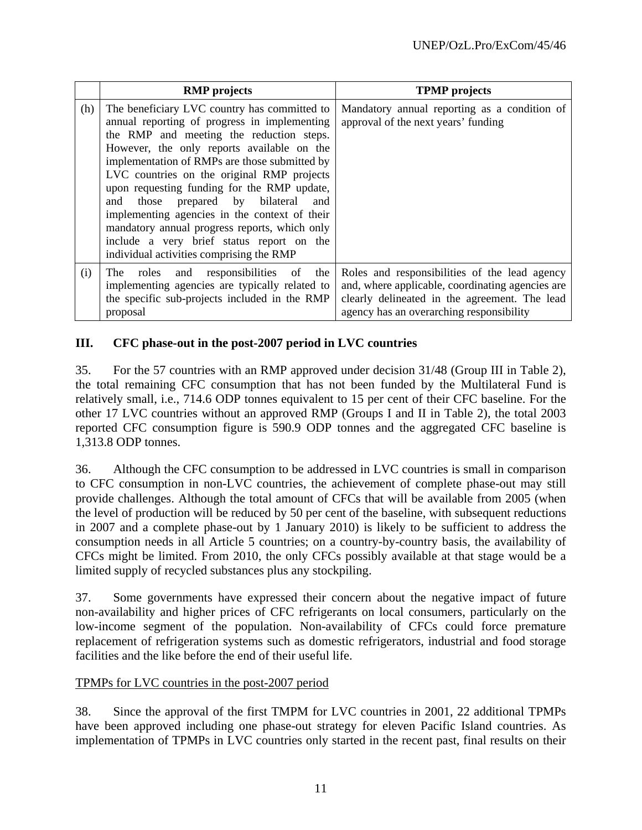|     | <b>RMP</b> projects                                                                                                                                                                                                                                                                                                                                                                                                                                                                                                                                                             | <b>TPMP</b> projects                                                                                                                                                                           |
|-----|---------------------------------------------------------------------------------------------------------------------------------------------------------------------------------------------------------------------------------------------------------------------------------------------------------------------------------------------------------------------------------------------------------------------------------------------------------------------------------------------------------------------------------------------------------------------------------|------------------------------------------------------------------------------------------------------------------------------------------------------------------------------------------------|
| (h) | The beneficiary LVC country has committed to<br>annual reporting of progress in implementing<br>the RMP and meeting the reduction steps.<br>However, the only reports available on the<br>implementation of RMPs are those submitted by<br>LVC countries on the original RMP projects<br>upon requesting funding for the RMP update,<br>prepared by bilateral<br>those<br>and<br>and<br>implementing agencies in the context of their<br>mandatory annual progress reports, which only<br>include a very brief status report on the<br>individual activities comprising the RMP | Mandatory annual reporting as a condition of<br>approval of the next years' funding                                                                                                            |
| (i) | and responsibilities<br>of<br>the<br>The<br>roles<br>implementing agencies are typically related to<br>the specific sub-projects included in the RMP<br>proposal                                                                                                                                                                                                                                                                                                                                                                                                                | Roles and responsibilities of the lead agency<br>and, where applicable, coordinating agencies are<br>clearly delineated in the agreement. The lead<br>agency has an overarching responsibility |

### **III. CFC phase-out in the post-2007 period in LVC countries**

35. For the 57 countries with an RMP approved under decision 31/48 (Group III in Table 2), the total remaining CFC consumption that has not been funded by the Multilateral Fund is relatively small, i.e., 714.6 ODP tonnes equivalent to 15 per cent of their CFC baseline. For the other 17 LVC countries without an approved RMP (Groups I and II in Table 2), the total 2003 reported CFC consumption figure is 590.9 ODP tonnes and the aggregated CFC baseline is 1,313.8 ODP tonnes.

36. Although the CFC consumption to be addressed in LVC countries is small in comparison to CFC consumption in non-LVC countries, the achievement of complete phase-out may still provide challenges. Although the total amount of CFCs that will be available from 2005 (when the level of production will be reduced by 50 per cent of the baseline, with subsequent reductions in 2007 and a complete phase-out by 1 January 2010) is likely to be sufficient to address the consumption needs in all Article 5 countries; on a country-by-country basis, the availability of CFCs might be limited. From 2010, the only CFCs possibly available at that stage would be a limited supply of recycled substances plus any stockpiling.

37. Some governments have expressed their concern about the negative impact of future non-availability and higher prices of CFC refrigerants on local consumers, particularly on the low-income segment of the population. Non-availability of CFCs could force premature replacement of refrigeration systems such as domestic refrigerators, industrial and food storage facilities and the like before the end of their useful life.

### TPMPs for LVC countries in the post-2007 period

38. Since the approval of the first TMPM for LVC countries in 2001, 22 additional TPMPs have been approved including one phase-out strategy for eleven Pacific Island countries. As implementation of TPMPs in LVC countries only started in the recent past, final results on their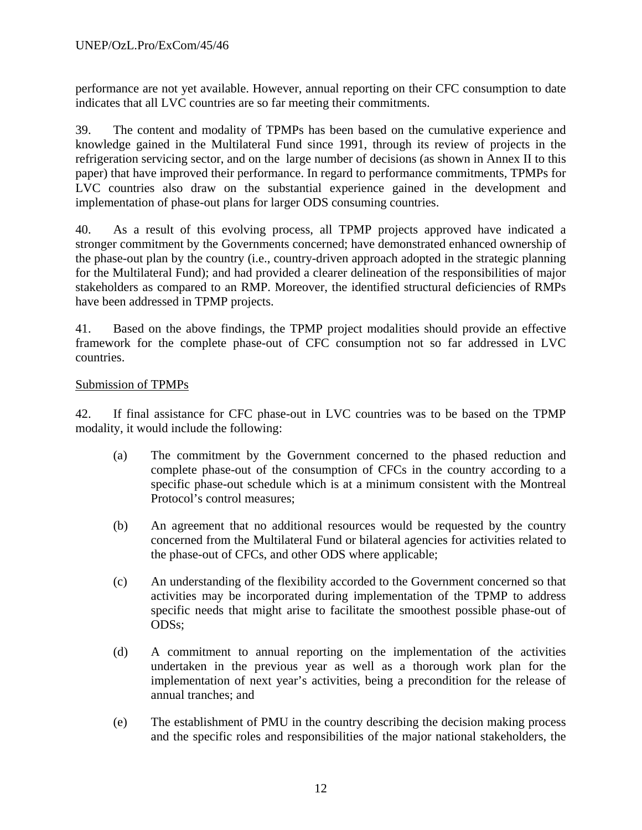performance are not yet available. However, annual reporting on their CFC consumption to date indicates that all LVC countries are so far meeting their commitments.

39. The content and modality of TPMPs has been based on the cumulative experience and knowledge gained in the Multilateral Fund since 1991, through its review of projects in the refrigeration servicing sector, and on the large number of decisions (as shown in Annex II to this paper) that have improved their performance. In regard to performance commitments, TPMPs for LVC countries also draw on the substantial experience gained in the development and implementation of phase-out plans for larger ODS consuming countries.

40. As a result of this evolving process, all TPMP projects approved have indicated a stronger commitment by the Governments concerned; have demonstrated enhanced ownership of the phase-out plan by the country (i.e., country-driven approach adopted in the strategic planning for the Multilateral Fund); and had provided a clearer delineation of the responsibilities of major stakeholders as compared to an RMP. Moreover, the identified structural deficiencies of RMPs have been addressed in TPMP projects.

41. Based on the above findings, the TPMP project modalities should provide an effective framework for the complete phase-out of CFC consumption not so far addressed in LVC countries.

### Submission of TPMPs

42. If final assistance for CFC phase-out in LVC countries was to be based on the TPMP modality, it would include the following:

- (a) The commitment by the Government concerned to the phased reduction and complete phase-out of the consumption of CFCs in the country according to a specific phase-out schedule which is at a minimum consistent with the Montreal Protocol's control measures;
- (b) An agreement that no additional resources would be requested by the country concerned from the Multilateral Fund or bilateral agencies for activities related to the phase-out of CFCs, and other ODS where applicable;
- (c) An understanding of the flexibility accorded to the Government concerned so that activities may be incorporated during implementation of the TPMP to address specific needs that might arise to facilitate the smoothest possible phase-out of ODSs;
- (d) A commitment to annual reporting on the implementation of the activities undertaken in the previous year as well as a thorough work plan for the implementation of next year's activities, being a precondition for the release of annual tranches; and
- (e) The establishment of PMU in the country describing the decision making process and the specific roles and responsibilities of the major national stakeholders, the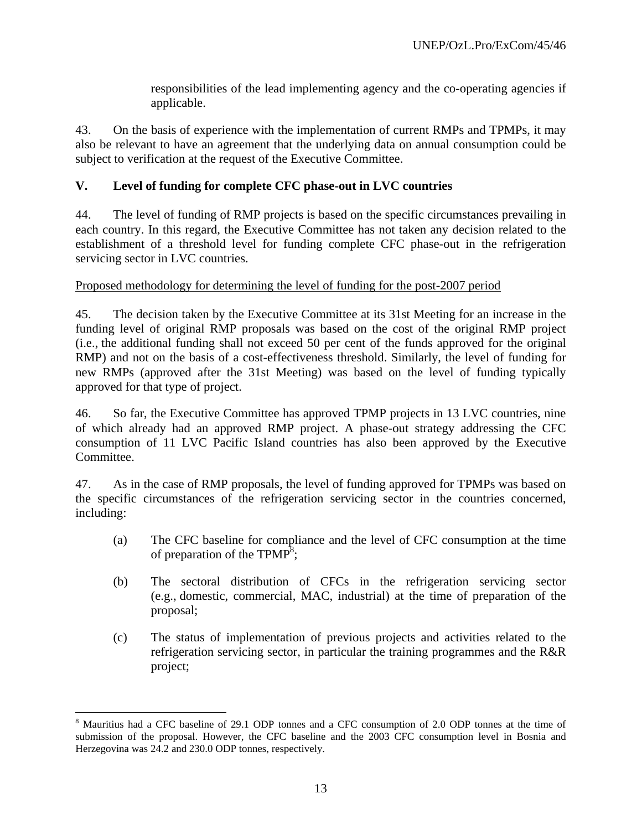responsibilities of the lead implementing agency and the co-operating agencies if applicable.

43. On the basis of experience with the implementation of current RMPs and TPMPs, it may also be relevant to have an agreement that the underlying data on annual consumption could be subject to verification at the request of the Executive Committee.

## **V. Level of funding for complete CFC phase-out in LVC countries**

44. The level of funding of RMP projects is based on the specific circumstances prevailing in each country. In this regard, the Executive Committee has not taken any decision related to the establishment of a threshold level for funding complete CFC phase-out in the refrigeration servicing sector in LVC countries.

### Proposed methodology for determining the level of funding for the post-2007 period

45. The decision taken by the Executive Committee at its 31st Meeting for an increase in the funding level of original RMP proposals was based on the cost of the original RMP project (i.e., the additional funding shall not exceed 50 per cent of the funds approved for the original RMP) and not on the basis of a cost-effectiveness threshold. Similarly, the level of funding for new RMPs (approved after the 31st Meeting) was based on the level of funding typically approved for that type of project.

46. So far, the Executive Committee has approved TPMP projects in 13 LVC countries, nine of which already had an approved RMP project. A phase-out strategy addressing the CFC consumption of 11 LVC Pacific Island countries has also been approved by the Executive Committee.

47. As in the case of RMP proposals, the level of funding approved for TPMPs was based on the specific circumstances of the refrigeration servicing sector in the countries concerned, including:

- (a) The CFC baseline for compliance and the level of CFC consumption at the time of preparation of the TPMP<sup>8</sup>;
- (b) The sectoral distribution of CFCs in the refrigeration servicing sector (e.g., domestic, commercial, MAC, industrial) at the time of preparation of the proposal;
- (c) The status of implementation of previous projects and activities related to the refrigeration servicing sector, in particular the training programmes and the R&R project;

 $\overline{a}$ 

<sup>&</sup>lt;sup>8</sup> Mauritius had a CFC baseline of 29.1 ODP tonnes and a CFC consumption of 2.0 ODP tonnes at the time of submission of the proposal. However, the CFC baseline and the 2003 CFC consumption level in Bosnia and Herzegovina was 24.2 and 230.0 ODP tonnes, respectively.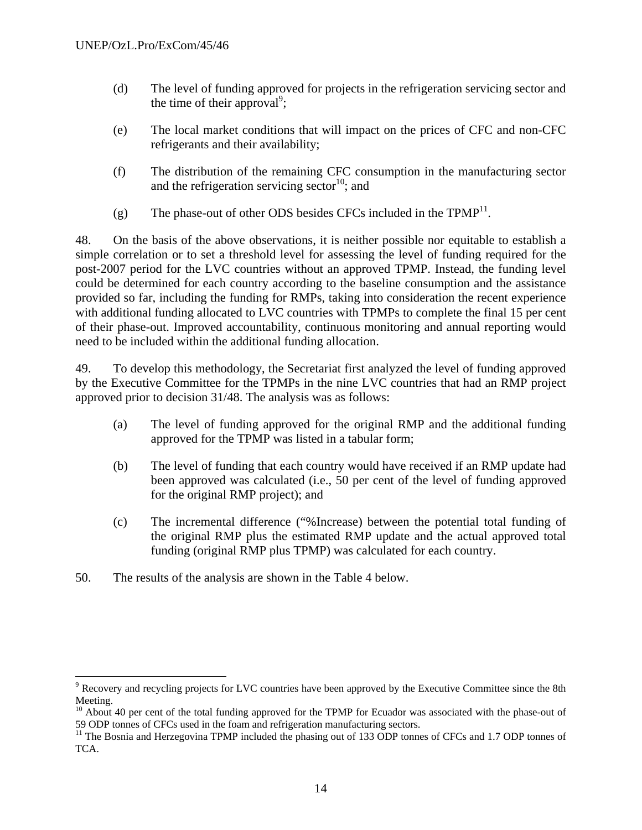- (d) The level of funding approved for projects in the refrigeration servicing sector and the time of their approval<sup>9</sup>;
- (e) The local market conditions that will impact on the prices of CFC and non-CFC refrigerants and their availability;
- (f) The distribution of the remaining CFC consumption in the manufacturing sector and the refrigeration servicing sector<sup>10</sup>; and
- (g) The phase-out of other ODS besides CFCs included in the  $TPMP<sup>11</sup>$ .

48. On the basis of the above observations, it is neither possible nor equitable to establish a simple correlation or to set a threshold level for assessing the level of funding required for the post-2007 period for the LVC countries without an approved TPMP. Instead, the funding level could be determined for each country according to the baseline consumption and the assistance provided so far, including the funding for RMPs, taking into consideration the recent experience with additional funding allocated to LVC countries with TPMPs to complete the final 15 per cent of their phase-out. Improved accountability, continuous monitoring and annual reporting would need to be included within the additional funding allocation.

49. To develop this methodology, the Secretariat first analyzed the level of funding approved by the Executive Committee for the TPMPs in the nine LVC countries that had an RMP project approved prior to decision 31/48. The analysis was as follows:

- (a) The level of funding approved for the original RMP and the additional funding approved for the TPMP was listed in a tabular form;
- (b) The level of funding that each country would have received if an RMP update had been approved was calculated (i.e., 50 per cent of the level of funding approved for the original RMP project); and
- (c) The incremental difference ("%Increase) between the potential total funding of the original RMP plus the estimated RMP update and the actual approved total funding (original RMP plus TPMP) was calculated for each country.
- 50. The results of the analysis are shown in the Table 4 below.

1

<sup>&</sup>lt;sup>9</sup> Recovery and recycling projects for LVC countries have been approved by the Executive Committee since the 8th Meeting.

 $10$  About 40 per cent of the total funding approved for the TPMP for Ecuador was associated with the phase-out of 59 ODP tonnes of CFCs used in the foam and refrigeration manufacturing sectors.

<sup>&</sup>lt;sup>11</sup> The Bosnia and Herzegovina TPMP included the phasing out of 133 ODP tonnes of CFCs and 1.7 ODP tonnes of TCA.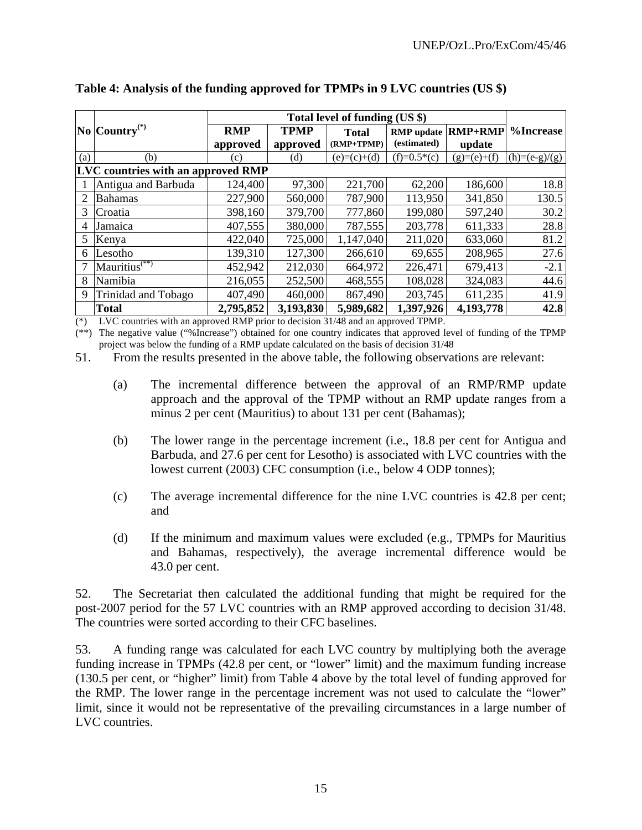|     | $\vert$ No $\vert$ Country <sup>(*)</sup> | <b>RMP</b> | <b>TPMP</b> | <b>Total</b>  | <b>RMP</b> update | <b>RMP+RMP</b> | %Increase       |
|-----|-------------------------------------------|------------|-------------|---------------|-------------------|----------------|-----------------|
|     |                                           | approved   | approved    | $(RMP+TPMP)$  | (estimated)       | update         |                 |
| (a) | (b)                                       | (c)        | (d)         | $(e)=(c)+(d)$ | $(f)=0.5*(c)$     | $(g)=(e)+(f)$  | $(h)=(e-g)/(g)$ |
|     | <b>LVC</b> countries with an approved RMP |            |             |               |                   |                |                 |
|     | Antigua and Barbuda                       | 124,400    | 97,300      | 221,700       | 62,200            | 186,600        | 18.8            |
| 2   | <b>Bahamas</b>                            | 227,900    | 560,000     | 787,900       | 113,950           | 341,850        | 130.5           |
| 3   | Croatia                                   | 398,160    | 379,700     | 777,860       | 199,080           | 597,240        | 30.2            |
| 4   | Jamaica                                   | 407,555    | 380,000     | 787,555       | 203,778           | 611,333        | 28.8            |
| 5   | Kenya                                     | 422,040    | 725,000     | 1,147,040     | 211,020           | 633,060        | 81.2            |
| 6   | Lesotho                                   | 139,310    | 127,300     | 266,610       | 69,655            | 208,965        | 27.6            |
|     | $M$ auritius <sup>(**)</sup>              | 452,942    | 212,030     | 664,972       | 226,471           | 679,413        | $-2.1$          |
| 8   | Namibia                                   | 216,055    | 252,500     | 468,555       | 108,028           | 324,083        | 44.6            |
| 9   | Trinidad and Tobago                       | 407,490    | 460,000     | 867,490       | 203,745           | 611,235        | 41.9            |
|     | <b>Total</b>                              | 2,795,852  | 3,193,830   | 5,989,682     | 1,397,926         | 4,193,778      | 42.8            |

**Table 4: Analysis of the funding approved for TPMPs in 9 LVC countries (US \$)** 

(\*) LVC countries with an approved RMP prior to decision 31/48 and an approved TPMP.

(\*\*) The negative value ("%Increase") obtained for one country indicates that approved level of funding of the TPMP project was below the funding of a RMP update calculated on the basis of decision 31/48

51. From the results presented in the above table, the following observations are relevant:

- (a) The incremental difference between the approval of an RMP/RMP update approach and the approval of the TPMP without an RMP update ranges from a minus 2 per cent (Mauritius) to about 131 per cent (Bahamas);
- (b) The lower range in the percentage increment (i.e., 18.8 per cent for Antigua and Barbuda, and 27.6 per cent for Lesotho) is associated with LVC countries with the lowest current (2003) CFC consumption (i.e., below 4 ODP tonnes);
- (c) The average incremental difference for the nine LVC countries is 42.8 per cent; and
- (d) If the minimum and maximum values were excluded (e.g., TPMPs for Mauritius and Bahamas, respectively), the average incremental difference would be 43.0 per cent.

52. The Secretariat then calculated the additional funding that might be required for the post-2007 period for the 57 LVC countries with an RMP approved according to decision 31/48. The countries were sorted according to their CFC baselines.

53. A funding range was calculated for each LVC country by multiplying both the average funding increase in TPMPs (42.8 per cent, or "lower" limit) and the maximum funding increase (130.5 per cent, or "higher" limit) from Table 4 above by the total level of funding approved for the RMP. The lower range in the percentage increment was not used to calculate the "lower" limit, since it would not be representative of the prevailing circumstances in a large number of LVC countries.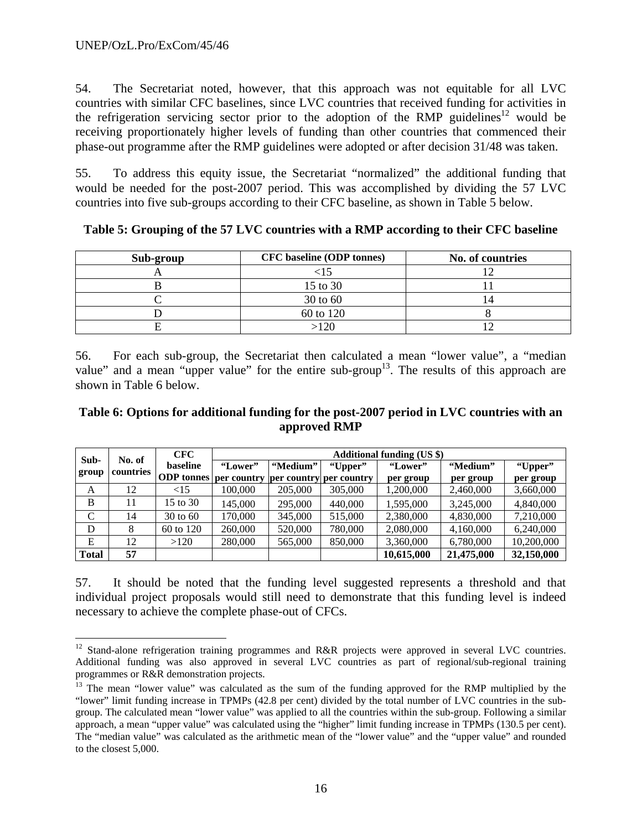$\overline{a}$ 

54. The Secretariat noted, however, that this approach was not equitable for all LVC countries with similar CFC baselines, since LVC countries that received funding for activities in the refrigeration servicing sector prior to the adoption of the RMP guidelines<sup>12</sup> would be receiving proportionately higher levels of funding than other countries that commenced their phase-out programme after the RMP guidelines were adopted or after decision 31/48 was taken.

55. To address this equity issue, the Secretariat "normalized" the additional funding that would be needed for the post-2007 period. This was accomplished by dividing the 57 LVC countries into five sub-groups according to their CFC baseline, as shown in Table 5 below.

| Sub-group | <b>CFC</b> baseline (ODP tonnes) | No. of countries |
|-----------|----------------------------------|------------------|
|           |                                  |                  |
|           | 15 to 30                         |                  |
|           | 30 to 60                         |                  |
|           | 60 to 120                        |                  |
|           | >120                             |                  |

**Table 5: Grouping of the 57 LVC countries with a RMP according to their CFC baseline** 

56. For each sub-group, the Secretariat then calculated a mean "lower value", a "median value" and a mean "upper value" for the entire sub-group<sup>13</sup>. The results of this approach are shown in Table 6 below.

#### **Table 6: Options for additional funding for the post-2007 period in LVC countries with an approved RMP**

| Sub-          | No. of    | <b>CFC</b>                                                  |         | <b>Additional funding (US \$)</b> |         |            |            |            |  |
|---------------|-----------|-------------------------------------------------------------|---------|-----------------------------------|---------|------------|------------|------------|--|
| group         | countries | baseline                                                    | "Lower" | "Medium"                          | "Upper" | "Lower"    | "Medium"   | "Upper"    |  |
|               |           | <b>ODP</b> tonnes   per country   per country   per country |         |                                   |         | per group  | per group  | per group  |  |
| A             | 12        | ${<}15$                                                     | 100,000 | 205,000                           | 305,000 | 1,200,000  | 2,460,000  | 3,660,000  |  |
| B             | 11        | 15 to 30                                                    | 145.000 | 295,000                           | 440,000 | 1.595.000  | 3.245,000  | 4,840,000  |  |
| $\mathcal{C}$ | 14        | 30 to 60                                                    | 170,000 | 345,000                           | 515,000 | 2,380,000  | 4,830,000  | 7,210,000  |  |
| D             | 8         | 60 to 120                                                   | 260,000 | 520,000                           | 780,000 | 2,080,000  | 4,160,000  | 6.240,000  |  |
| E             | 12        | >120                                                        | 280,000 | 565,000                           | 850,000 | 3,360,000  | 6,780,000  | 10,200,000 |  |
| <b>Total</b>  | 57        |                                                             |         |                                   |         | 10,615,000 | 21,475,000 | 32,150,000 |  |

57. It should be noted that the funding level suggested represents a threshold and that individual project proposals would still need to demonstrate that this funding level is indeed necessary to achieve the complete phase-out of CFCs.

<sup>&</sup>lt;sup>12</sup> Stand-alone refrigeration training programmes and R&R projects were approved in several LVC countries. Additional funding was also approved in several LVC countries as part of regional/sub-regional training programmes or R&R demonstration projects.

<sup>&</sup>lt;sup>13</sup> The mean "lower value" was calculated as the sum of the funding approved for the RMP multiplied by the "lower" limit funding increase in TPMPs (42.8 per cent) divided by the total number of LVC countries in the subgroup. The calculated mean "lower value" was applied to all the countries within the sub-group. Following a similar approach, a mean "upper value" was calculated using the "higher" limit funding increase in TPMPs (130.5 per cent). The "median value" was calculated as the arithmetic mean of the "lower value" and the "upper value" and rounded to the closest 5,000.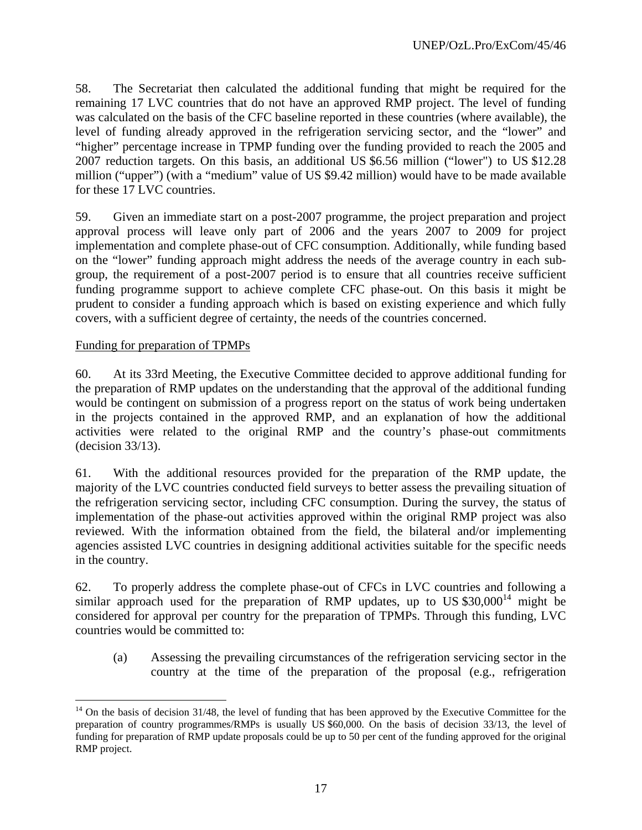58. The Secretariat then calculated the additional funding that might be required for the remaining 17 LVC countries that do not have an approved RMP project. The level of funding was calculated on the basis of the CFC baseline reported in these countries (where available), the level of funding already approved in the refrigeration servicing sector, and the "lower" and "higher" percentage increase in TPMP funding over the funding provided to reach the 2005 and 2007 reduction targets. On this basis, an additional US \$6.56 million ("lower") to US \$12.28 million ("upper") (with a "medium" value of US \$9.42 million) would have to be made available for these 17 LVC countries.

59. Given an immediate start on a post-2007 programme, the project preparation and project approval process will leave only part of 2006 and the years 2007 to 2009 for project implementation and complete phase-out of CFC consumption. Additionally, while funding based on the "lower" funding approach might address the needs of the average country in each subgroup, the requirement of a post-2007 period is to ensure that all countries receive sufficient funding programme support to achieve complete CFC phase-out. On this basis it might be prudent to consider a funding approach which is based on existing experience and which fully covers, with a sufficient degree of certainty, the needs of the countries concerned.

#### Funding for preparation of TPMPs

 $\overline{a}$ 

60. At its 33rd Meeting, the Executive Committee decided to approve additional funding for the preparation of RMP updates on the understanding that the approval of the additional funding would be contingent on submission of a progress report on the status of work being undertaken in the projects contained in the approved RMP, and an explanation of how the additional activities were related to the original RMP and the country's phase-out commitments (decision 33/13).

61. With the additional resources provided for the preparation of the RMP update, the majority of the LVC countries conducted field surveys to better assess the prevailing situation of the refrigeration servicing sector, including CFC consumption. During the survey, the status of implementation of the phase-out activities approved within the original RMP project was also reviewed. With the information obtained from the field, the bilateral and/or implementing agencies assisted LVC countries in designing additional activities suitable for the specific needs in the country.

62. To properly address the complete phase-out of CFCs in LVC countries and following a similar approach used for the preparation of RMP updates, up to US  $$30,000^{14}$  might be considered for approval per country for the preparation of TPMPs. Through this funding, LVC countries would be committed to:

(a) Assessing the prevailing circumstances of the refrigeration servicing sector in the country at the time of the preparation of the proposal (e.g., refrigeration

 $14$  On the basis of decision 31/48, the level of funding that has been approved by the Executive Committee for the preparation of country programmes/RMPs is usually US \$60,000. On the basis of decision 33/13, the level of funding for preparation of RMP update proposals could be up to 50 per cent of the funding approved for the original RMP project.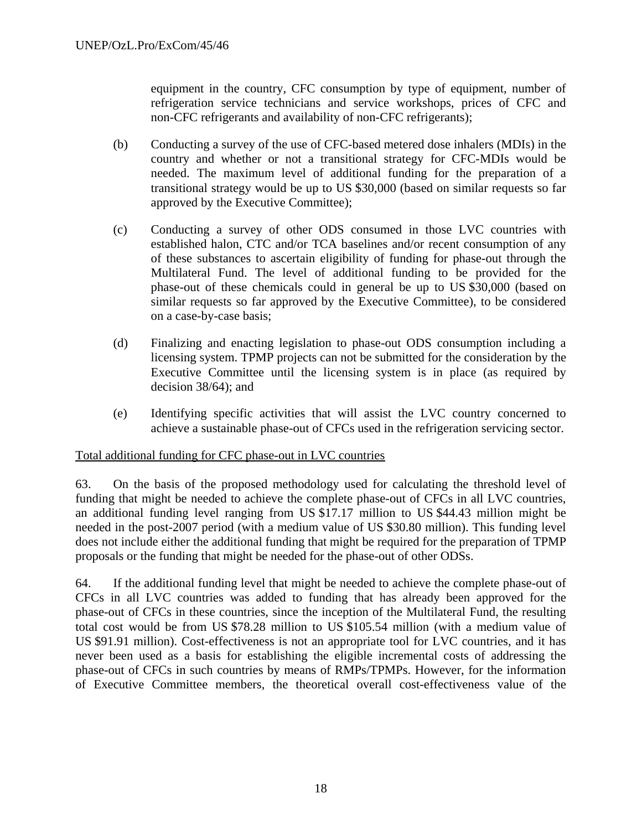equipment in the country, CFC consumption by type of equipment, number of refrigeration service technicians and service workshops, prices of CFC and non-CFC refrigerants and availability of non-CFC refrigerants);

- (b) Conducting a survey of the use of CFC-based metered dose inhalers (MDIs) in the country and whether or not a transitional strategy for CFC-MDIs would be needed. The maximum level of additional funding for the preparation of a transitional strategy would be up to US \$30,000 (based on similar requests so far approved by the Executive Committee);
- (c) Conducting a survey of other ODS consumed in those LVC countries with established halon, CTC and/or TCA baselines and/or recent consumption of any of these substances to ascertain eligibility of funding for phase-out through the Multilateral Fund. The level of additional funding to be provided for the phase-out of these chemicals could in general be up to US \$30,000 (based on similar requests so far approved by the Executive Committee), to be considered on a case-by-case basis;
- (d) Finalizing and enacting legislation to phase-out ODS consumption including a licensing system. TPMP projects can not be submitted for the consideration by the Executive Committee until the licensing system is in place (as required by decision 38/64); and
- (e) Identifying specific activities that will assist the LVC country concerned to achieve a sustainable phase-out of CFCs used in the refrigeration servicing sector.

#### Total additional funding for CFC phase-out in LVC countries

63. On the basis of the proposed methodology used for calculating the threshold level of funding that might be needed to achieve the complete phase-out of CFCs in all LVC countries, an additional funding level ranging from US \$17.17 million to US \$44.43 million might be needed in the post-2007 period (with a medium value of US \$30.80 million). This funding level does not include either the additional funding that might be required for the preparation of TPMP proposals or the funding that might be needed for the phase-out of other ODSs.

64. If the additional funding level that might be needed to achieve the complete phase-out of CFCs in all LVC countries was added to funding that has already been approved for the phase-out of CFCs in these countries, since the inception of the Multilateral Fund, the resulting total cost would be from US \$78.28 million to US \$105.54 million (with a medium value of US \$91.91 million). Cost-effectiveness is not an appropriate tool for LVC countries, and it has never been used as a basis for establishing the eligible incremental costs of addressing the phase-out of CFCs in such countries by means of RMPs/TPMPs. However, for the information of Executive Committee members, the theoretical overall cost-effectiveness value of the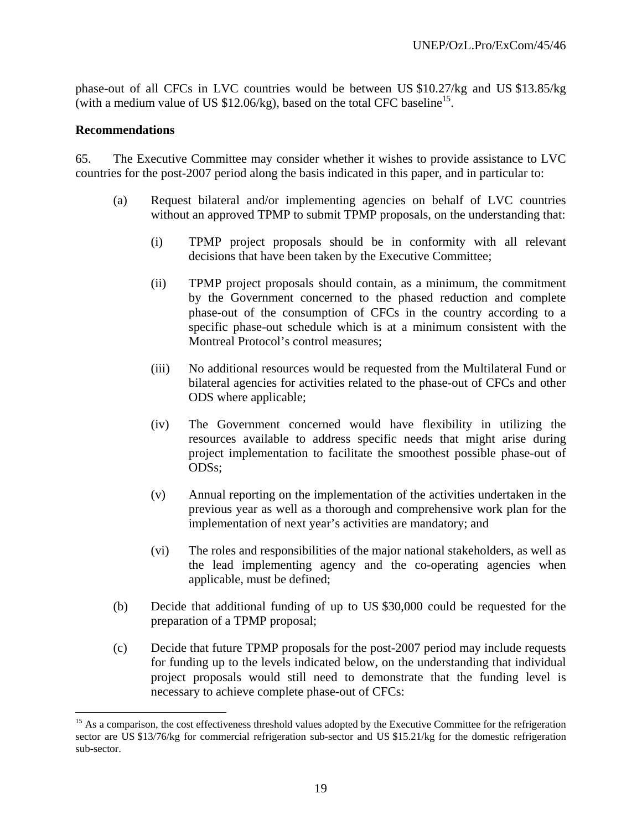phase-out of all CFCs in LVC countries would be between US \$10.27/kg and US \$13.85/kg (with a medium value of US  $$12.06/kg$ ), based on the total CFC baseline<sup>15</sup>.

#### **Recommendations**

 $\overline{a}$ 

65. The Executive Committee may consider whether it wishes to provide assistance to LVC countries for the post-2007 period along the basis indicated in this paper, and in particular to:

- (a) Request bilateral and/or implementing agencies on behalf of LVC countries without an approved TPMP to submit TPMP proposals, on the understanding that:
	- (i) TPMP project proposals should be in conformity with all relevant decisions that have been taken by the Executive Committee;
	- (ii) TPMP project proposals should contain, as a minimum, the commitment by the Government concerned to the phased reduction and complete phase-out of the consumption of CFCs in the country according to a specific phase-out schedule which is at a minimum consistent with the Montreal Protocol's control measures;
	- (iii) No additional resources would be requested from the Multilateral Fund or bilateral agencies for activities related to the phase-out of CFCs and other ODS where applicable;
	- (iv) The Government concerned would have flexibility in utilizing the resources available to address specific needs that might arise during project implementation to facilitate the smoothest possible phase-out of ODSs;
	- (v) Annual reporting on the implementation of the activities undertaken in the previous year as well as a thorough and comprehensive work plan for the implementation of next year's activities are mandatory; and
	- (vi) The roles and responsibilities of the major national stakeholders, as well as the lead implementing agency and the co-operating agencies when applicable, must be defined;
- (b) Decide that additional funding of up to US \$30,000 could be requested for the preparation of a TPMP proposal;
- (c) Decide that future TPMP proposals for the post-2007 period may include requests for funding up to the levels indicated below, on the understanding that individual project proposals would still need to demonstrate that the funding level is necessary to achieve complete phase-out of CFCs:

<sup>&</sup>lt;sup>15</sup> As a comparison, the cost effectiveness threshold values adopted by the Executive Committee for the refrigeration sector are US \$13/76/kg for commercial refrigeration sub-sector and US \$15.21/kg for the domestic refrigeration sub-sector.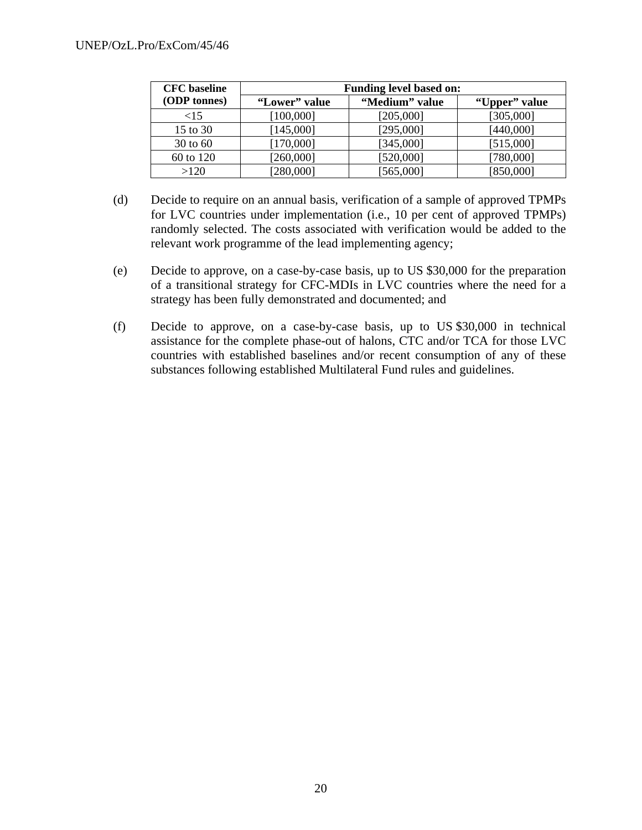| <b>CFC</b> baseline<br><b>Funding level based on:</b> |               |                |               |  |  |
|-------------------------------------------------------|---------------|----------------|---------------|--|--|
| (ODP tonnes)                                          | "Lower" value | "Medium" value | "Upper" value |  |  |
| $\leq 15$                                             | [100,000]     | [205,000]      | [305,000]     |  |  |
| 15 to 30                                              | [145,000]     | [295,000]      | [440,000]     |  |  |
| 30 to 60                                              | [170,000]     | [345,000]      | [515,000]     |  |  |
| 60 to 120                                             | [260,000]     | [520,000]      | [780,000]     |  |  |
| >120                                                  | 280,0001      | [565,000]      | [850,000]     |  |  |

- (d) Decide to require on an annual basis, verification of a sample of approved TPMPs for LVC countries under implementation (i.e., 10 per cent of approved TPMPs) randomly selected. The costs associated with verification would be added to the relevant work programme of the lead implementing agency;
- (e) Decide to approve, on a case-by-case basis, up to US \$30,000 for the preparation of a transitional strategy for CFC-MDIs in LVC countries where the need for a strategy has been fully demonstrated and documented; and
- (f) Decide to approve, on a case-by-case basis, up to US \$30,000 in technical assistance for the complete phase-out of halons, CTC and/or TCA for those LVC countries with established baselines and/or recent consumption of any of these substances following established Multilateral Fund rules and guidelines.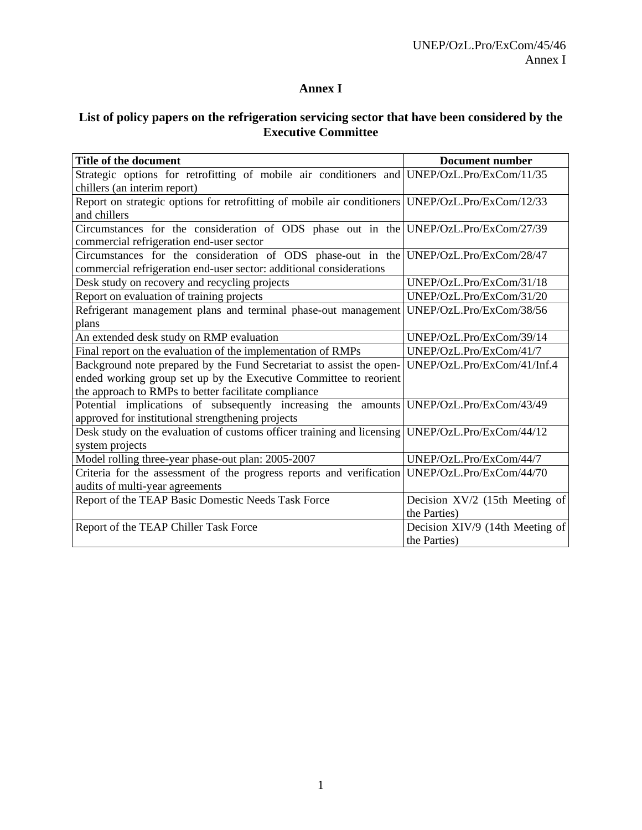# **Annex I**

# **List of policy papers on the refrigeration servicing sector that have been considered by the Executive Committee**

| Title of the document                                                                            | <b>Document number</b>          |
|--------------------------------------------------------------------------------------------------|---------------------------------|
| Strategic options for retrofitting of mobile air conditioners and UNEP/OzL.Pro/ExCom/11/35       |                                 |
| chillers (an interim report)                                                                     |                                 |
| Report on strategic options for retrofitting of mobile air conditioners UNEP/OzL.Pro/ExCom/12/33 |                                 |
| and chillers                                                                                     |                                 |
| Circumstances for the consideration of ODS phase out in the UNEP/OzL.Pro/ExCom/27/39             |                                 |
| commercial refrigeration end-user sector                                                         |                                 |
| Circumstances for the consideration of ODS phase-out in the UNEP/OzL.Pro/ExCom/28/47             |                                 |
| commercial refrigeration end-user sector: additional considerations                              |                                 |
| Desk study on recovery and recycling projects                                                    | UNEP/OzL.Pro/ExCom/31/18        |
| Report on evaluation of training projects                                                        | UNEP/OzL.Pro/ExCom/31/20        |
| Refrigerant management plans and terminal phase-out management                                   | UNEP/OzL.Pro/ExCom/38/56        |
| plans                                                                                            |                                 |
| An extended desk study on RMP evaluation                                                         | UNEP/OzL.Pro/ExCom/39/14        |
| Final report on the evaluation of the implementation of RMPs                                     | UNEP/OzL.Pro/ExCom/41/7         |
| Background note prepared by the Fund Secretariat to assist the open-                             | UNEP/OzL.Pro/ExCom/41/Inf.4     |
| ended working group set up by the Executive Committee to reorient                                |                                 |
| the approach to RMPs to better facilitate compliance                                             |                                 |
| Potential implications of subsequently increasing the amounts UNEP/OzL.Pro/ExCom/43/49           |                                 |
| approved for institutional strengthening projects                                                |                                 |
| Desk study on the evaluation of customs officer training and licensing UNEP/OzL.Pro/ExCom/44/12  |                                 |
| system projects                                                                                  |                                 |
| Model rolling three-year phase-out plan: 2005-2007                                               | UNEP/OzL.Pro/ExCom/44/7         |
| Criteria for the assessment of the progress reports and verification UNEP/OzL.Pro/ExCom/44/70    |                                 |
| audits of multi-year agreements                                                                  |                                 |
| Report of the TEAP Basic Domestic Needs Task Force                                               | Decision XV/2 (15th Meeting of  |
|                                                                                                  | the Parties)                    |
| Report of the TEAP Chiller Task Force                                                            | Decision XIV/9 (14th Meeting of |
|                                                                                                  | the Parties)                    |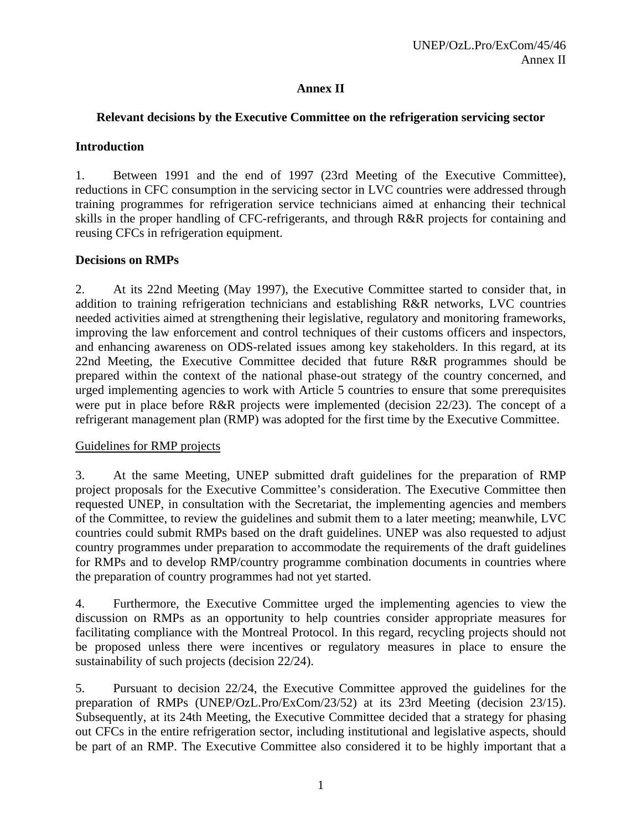## **Annex II**

## **Relevant decisions by the Executive Committee on the refrigeration servicing sector**

## **Introduction**

1. Between 1991 and the end of 1997 (23rd Meeting of the Executive Committee), reductions in CFC consumption in the servicing sector in LVC countries were addressed through training programmes for refrigeration service technicians aimed at enhancing their technical skills in the proper handling of CFC-refrigerants, and through R&R projects for containing and reusing CFCs in refrigeration equipment.

## **Decisions on RMPs**

2. At its 22nd Meeting (May 1997), the Executive Committee started to consider that, in addition to training refrigeration technicians and establishing R&R networks, LVC countries needed activities aimed at strengthening their legislative, regulatory and monitoring frameworks, improving the law enforcement and control techniques of their customs officers and inspectors, and enhancing awareness on ODS-related issues among key stakeholders. In this regard, at its 22nd Meeting, the Executive Committee decided that future R&R programmes should be prepared within the context of the national phase-out strategy of the country concerned, and urged implementing agencies to work with Article 5 countries to ensure that some prerequisites were put in place before R&R projects were implemented (decision 22/23). The concept of a refrigerant management plan (RMP) was adopted for the first time by the Executive Committee.

### Guidelines for RMP projects

3. At the same Meeting, UNEP submitted draft guidelines for the preparation of RMP project proposals for the Executive Committee's consideration. The Executive Committee then requested UNEP, in consultation with the Secretariat, the implementing agencies and members of the Committee, to review the guidelines and submit them to a later meeting; meanwhile, LVC countries could submit RMPs based on the draft guidelines. UNEP was also requested to adjust country programmes under preparation to accommodate the requirements of the draft guidelines for RMPs and to develop RMP/country programme combination documents in countries where the preparation of country programmes had not yet started.

4. Furthermore, the Executive Committee urged the implementing agencies to view the discussion on RMPs as an opportunity to help countries consider appropriate measures for facilitating compliance with the Montreal Protocol. In this regard, recycling projects should not be proposed unless there were incentives or regulatory measures in place to ensure the sustainability of such projects (decision 22/24).

5. Pursuant to decision 22/24, the Executive Committee approved the guidelines for the preparation of RMPs (UNEP/OzL.Pro/ExCom/23/52) at its 23rd Meeting (decision 23/15). Subsequently, at its 24th Meeting, the Executive Committee decided that a strategy for phasing out CFCs in the entire refrigeration sector, including institutional and legislative aspects, should be part of an RMP. The Executive Committee also considered it to be highly important that a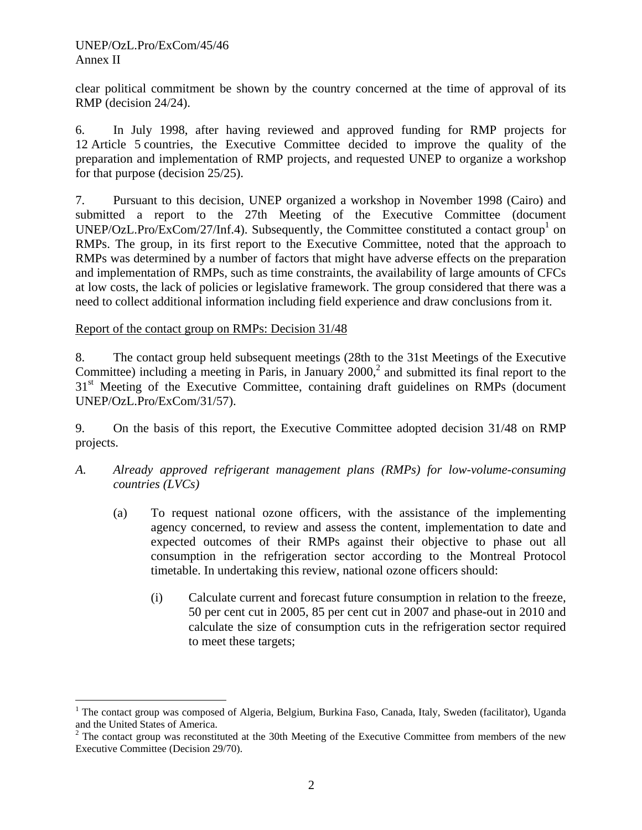<u>.</u>

clear political commitment be shown by the country concerned at the time of approval of its RMP (decision 24/24).

6. In July 1998, after having reviewed and approved funding for RMP projects for 12 Article 5 countries, the Executive Committee decided to improve the quality of the preparation and implementation of RMP projects, and requested UNEP to organize a workshop for that purpose (decision 25/25).

7. Pursuant to this decision, UNEP organized a workshop in November 1998 (Cairo) and submitted a report to the 27th Meeting of the Executive Committee (document UNEP/OzL.Pro/ExCom/27/Inf.4). Subsequently, the Committee constituted a contact group<sup>1</sup> on RMPs. The group, in its first report to the Executive Committee, noted that the approach to RMPs was determined by a number of factors that might have adverse effects on the preparation and implementation of RMPs, such as time constraints, the availability of large amounts of CFCs at low costs, the lack of policies or legislative framework. The group considered that there was a need to collect additional information including field experience and draw conclusions from it.

#### Report of the contact group on RMPs: Decision 31/48

8. The contact group held subsequent meetings (28th to the 31st Meetings of the Executive Committee) including a meeting in Paris, in January  $2000$ <sup>2</sup> and submitted its final report to the 31<sup>st</sup> Meeting of the Executive Committee, containing draft guidelines on RMPs (document UNEP/OzL.Pro/ExCom/31/57).

9. On the basis of this report, the Executive Committee adopted decision 31/48 on RMP projects.

- *A. Already approved refrigerant management plans (RMPs) for low-volume-consuming countries (LVCs)* 
	- (a) To request national ozone officers, with the assistance of the implementing agency concerned, to review and assess the content, implementation to date and expected outcomes of their RMPs against their objective to phase out all consumption in the refrigeration sector according to the Montreal Protocol timetable. In undertaking this review, national ozone officers should:
		- (i) Calculate current and forecast future consumption in relation to the freeze, 50 per cent cut in 2005, 85 per cent cut in 2007 and phase-out in 2010 and calculate the size of consumption cuts in the refrigeration sector required to meet these targets;

<sup>&</sup>lt;sup>1</sup> The contact group was composed of Algeria, Belgium, Burkina Faso, Canada, Italy, Sweden (facilitator), Uganda and the United States of America.

 $2$  The contact group was reconstituted at the 30th Meeting of the Executive Committee from members of the new Executive Committee (Decision 29/70).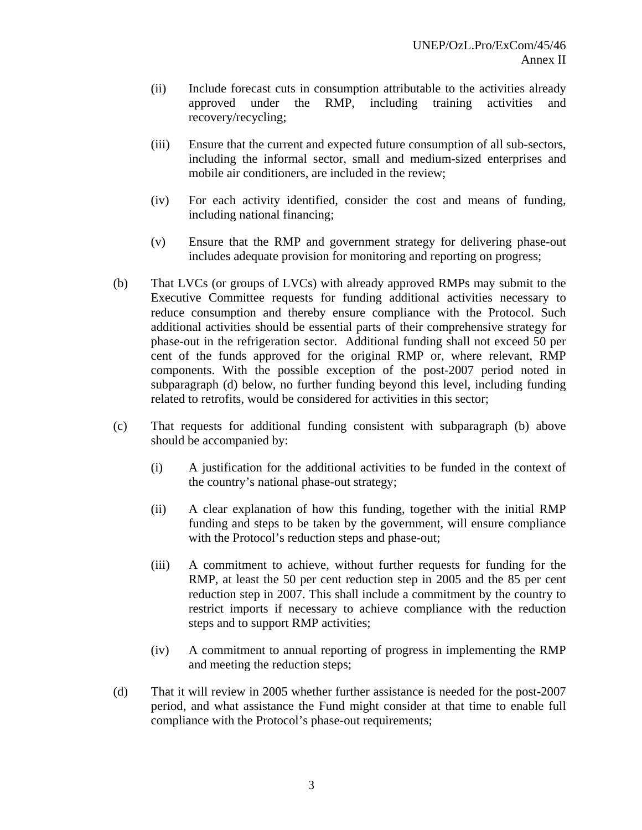- (ii) Include forecast cuts in consumption attributable to the activities already approved under the RMP, including training activities and recovery/recycling;
- (iii) Ensure that the current and expected future consumption of all sub-sectors, including the informal sector, small and medium-sized enterprises and mobile air conditioners, are included in the review;
- (iv) For each activity identified, consider the cost and means of funding, including national financing;
- (v) Ensure that the RMP and government strategy for delivering phase-out includes adequate provision for monitoring and reporting on progress;
- (b) That LVCs (or groups of LVCs) with already approved RMPs may submit to the Executive Committee requests for funding additional activities necessary to reduce consumption and thereby ensure compliance with the Protocol. Such additional activities should be essential parts of their comprehensive strategy for phase-out in the refrigeration sector. Additional funding shall not exceed 50 per cent of the funds approved for the original RMP or, where relevant, RMP components. With the possible exception of the post-2007 period noted in subparagraph (d) below, no further funding beyond this level, including funding related to retrofits, would be considered for activities in this sector;
- (c) That requests for additional funding consistent with subparagraph (b) above should be accompanied by:
	- (i) A justification for the additional activities to be funded in the context of the country's national phase-out strategy;
	- (ii) A clear explanation of how this funding, together with the initial RMP funding and steps to be taken by the government, will ensure compliance with the Protocol's reduction steps and phase-out;
	- (iii) A commitment to achieve, without further requests for funding for the RMP, at least the 50 per cent reduction step in 2005 and the 85 per cent reduction step in 2007. This shall include a commitment by the country to restrict imports if necessary to achieve compliance with the reduction steps and to support RMP activities;
	- (iv) A commitment to annual reporting of progress in implementing the RMP and meeting the reduction steps;
- (d) That it will review in 2005 whether further assistance is needed for the post-2007 period, and what assistance the Fund might consider at that time to enable full compliance with the Protocol's phase-out requirements;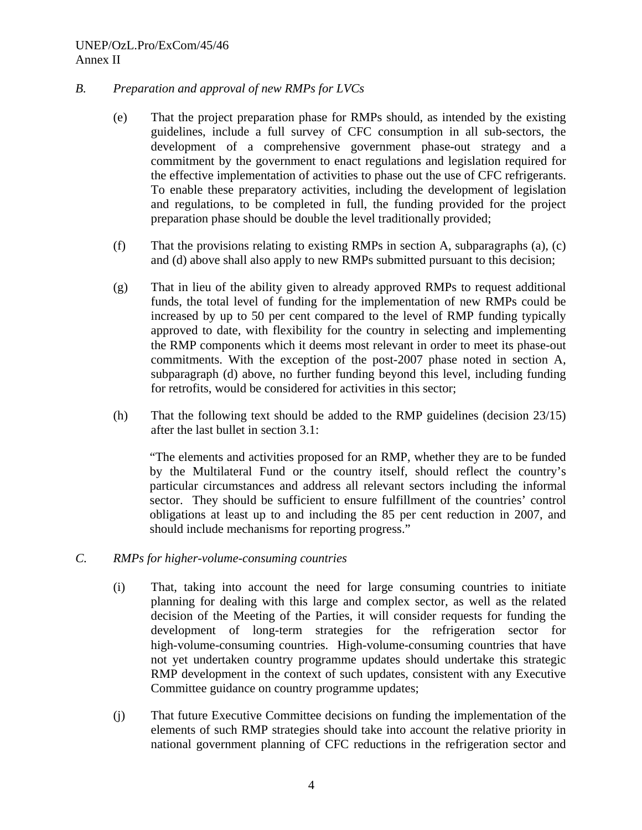#### UNEP/OzL.Pro/ExCom/45/46 Annex II

#### *B. Preparation and approval of new RMPs for LVCs*

- (e) That the project preparation phase for RMPs should, as intended by the existing guidelines, include a full survey of CFC consumption in all sub-sectors, the development of a comprehensive government phase-out strategy and a commitment by the government to enact regulations and legislation required for the effective implementation of activities to phase out the use of CFC refrigerants. To enable these preparatory activities, including the development of legislation and regulations, to be completed in full, the funding provided for the project preparation phase should be double the level traditionally provided;
- (f) That the provisions relating to existing RMPs in section A, subparagraphs (a), (c) and (d) above shall also apply to new RMPs submitted pursuant to this decision;
- (g) That in lieu of the ability given to already approved RMPs to request additional funds, the total level of funding for the implementation of new RMPs could be increased by up to 50 per cent compared to the level of RMP funding typically approved to date, with flexibility for the country in selecting and implementing the RMP components which it deems most relevant in order to meet its phase-out commitments. With the exception of the post-2007 phase noted in section A, subparagraph (d) above, no further funding beyond this level, including funding for retrofits, would be considered for activities in this sector;
- (h) That the following text should be added to the RMP guidelines (decision 23/15) after the last bullet in section 3.1:

"The elements and activities proposed for an RMP, whether they are to be funded by the Multilateral Fund or the country itself, should reflect the country's particular circumstances and address all relevant sectors including the informal sector. They should be sufficient to ensure fulfillment of the countries' control obligations at least up to and including the 85 per cent reduction in 2007, and should include mechanisms for reporting progress."

- *C. RMPs for higher-volume-consuming countries* 
	- (i) That, taking into account the need for large consuming countries to initiate planning for dealing with this large and complex sector, as well as the related decision of the Meeting of the Parties, it will consider requests for funding the development of long-term strategies for the refrigeration sector for high-volume-consuming countries. High-volume-consuming countries that have not yet undertaken country programme updates should undertake this strategic RMP development in the context of such updates, consistent with any Executive Committee guidance on country programme updates;
	- (j) That future Executive Committee decisions on funding the implementation of the elements of such RMP strategies should take into account the relative priority in national government planning of CFC reductions in the refrigeration sector and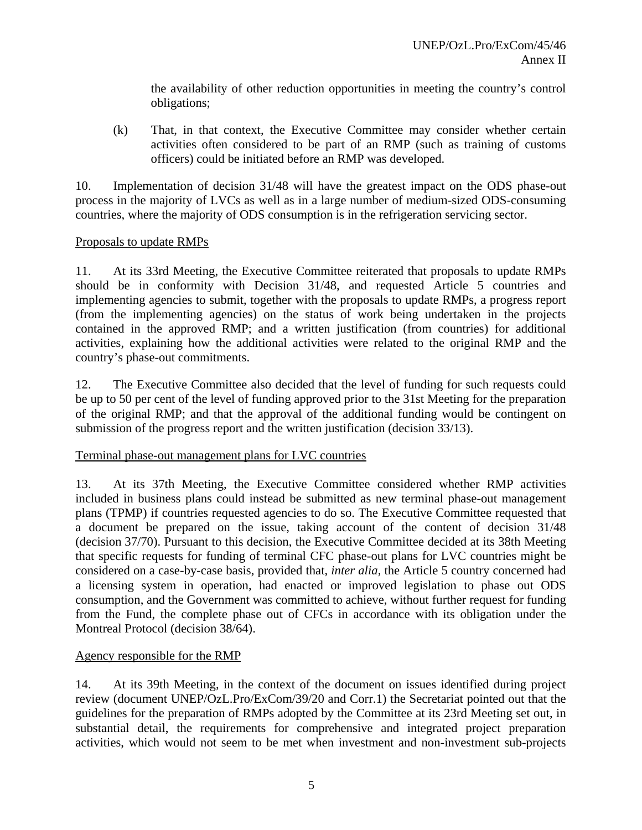the availability of other reduction opportunities in meeting the country's control obligations;

(k) That, in that context, the Executive Committee may consider whether certain activities often considered to be part of an RMP (such as training of customs officers) could be initiated before an RMP was developed.

10. Implementation of decision 31/48 will have the greatest impact on the ODS phase-out process in the majority of LVCs as well as in a large number of medium-sized ODS-consuming countries, where the majority of ODS consumption is in the refrigeration servicing sector.

### Proposals to update RMPs

11. At its 33rd Meeting, the Executive Committee reiterated that proposals to update RMPs should be in conformity with Decision 31/48, and requested Article 5 countries and implementing agencies to submit, together with the proposals to update RMPs, a progress report (from the implementing agencies) on the status of work being undertaken in the projects contained in the approved RMP; and a written justification (from countries) for additional activities, explaining how the additional activities were related to the original RMP and the country's phase-out commitments.

12. The Executive Committee also decided that the level of funding for such requests could be up to 50 per cent of the level of funding approved prior to the 31st Meeting for the preparation of the original RMP; and that the approval of the additional funding would be contingent on submission of the progress report and the written justification (decision 33/13).

#### Terminal phase-out management plans for LVC countries

13. At its 37th Meeting, the Executive Committee considered whether RMP activities included in business plans could instead be submitted as new terminal phase-out management plans (TPMP) if countries requested agencies to do so. The Executive Committee requested that a document be prepared on the issue, taking account of the content of decision 31/48 (decision 37/70). Pursuant to this decision, the Executive Committee decided at its 38th Meeting that specific requests for funding of terminal CFC phase-out plans for LVC countries might be considered on a case-by-case basis, provided that, *inter alia,* the Article 5 country concerned had a licensing system in operation, had enacted or improved legislation to phase out ODS consumption, and the Government was committed to achieve, without further request for funding from the Fund, the complete phase out of CFCs in accordance with its obligation under the Montreal Protocol (decision 38/64).

### Agency responsible for the RMP

14. At its 39th Meeting, in the context of the document on issues identified during project review (document UNEP/OzL.Pro/ExCom/39/20 and Corr.1) the Secretariat pointed out that the guidelines for the preparation of RMPs adopted by the Committee at its 23rd Meeting set out, in substantial detail, the requirements for comprehensive and integrated project preparation activities, which would not seem to be met when investment and non-investment sub-projects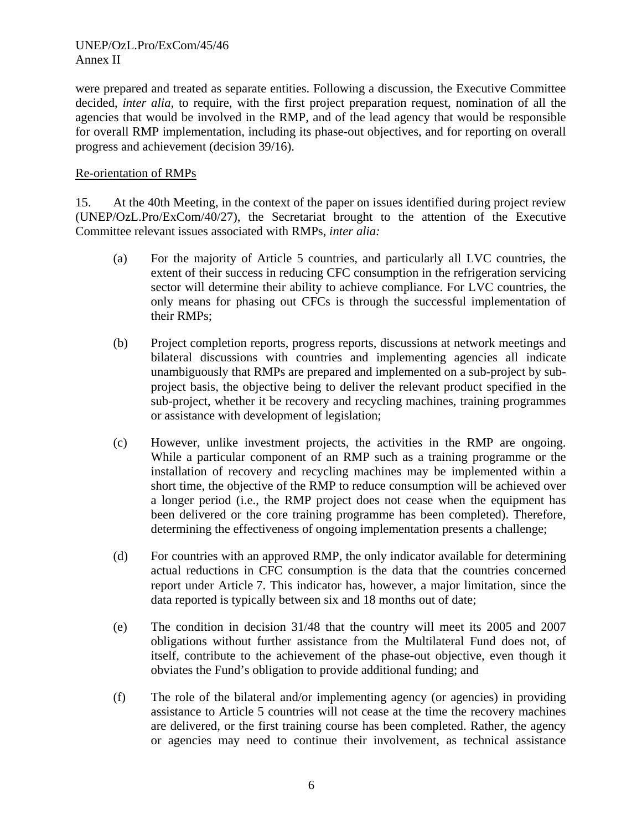#### UNEP/OzL.Pro/ExCom/45/46 Annex II

were prepared and treated as separate entities. Following a discussion, the Executive Committee decided, *inter alia,* to require, with the first project preparation request, nomination of all the agencies that would be involved in the RMP, and of the lead agency that would be responsible for overall RMP implementation, including its phase-out objectives, and for reporting on overall progress and achievement (decision 39/16).

#### Re-orientation of RMPs

15. At the 40th Meeting, in the context of the paper on issues identified during project review (UNEP/OzL.Pro/ExCom/40/27), the Secretariat brought to the attention of the Executive Committee relevant issues associated with RMPs, *inter alia:*

- (a) For the majority of Article 5 countries, and particularly all LVC countries, the extent of their success in reducing CFC consumption in the refrigeration servicing sector will determine their ability to achieve compliance. For LVC countries, the only means for phasing out CFCs is through the successful implementation of their RMPs;
- (b) Project completion reports, progress reports, discussions at network meetings and bilateral discussions with countries and implementing agencies all indicate unambiguously that RMPs are prepared and implemented on a sub-project by subproject basis, the objective being to deliver the relevant product specified in the sub-project, whether it be recovery and recycling machines, training programmes or assistance with development of legislation;
- (c) However, unlike investment projects, the activities in the RMP are ongoing. While a particular component of an RMP such as a training programme or the installation of recovery and recycling machines may be implemented within a short time, the objective of the RMP to reduce consumption will be achieved over a longer period (i.e., the RMP project does not cease when the equipment has been delivered or the core training programme has been completed). Therefore, determining the effectiveness of ongoing implementation presents a challenge;
- (d) For countries with an approved RMP, the only indicator available for determining actual reductions in CFC consumption is the data that the countries concerned report under Article 7. This indicator has, however, a major limitation, since the data reported is typically between six and 18 months out of date;
- (e) The condition in decision 31/48 that the country will meet its 2005 and 2007 obligations without further assistance from the Multilateral Fund does not, of itself, contribute to the achievement of the phase-out objective, even though it obviates the Fund's obligation to provide additional funding; and
- (f) The role of the bilateral and/or implementing agency (or agencies) in providing assistance to Article 5 countries will not cease at the time the recovery machines are delivered, or the first training course has been completed. Rather, the agency or agencies may need to continue their involvement, as technical assistance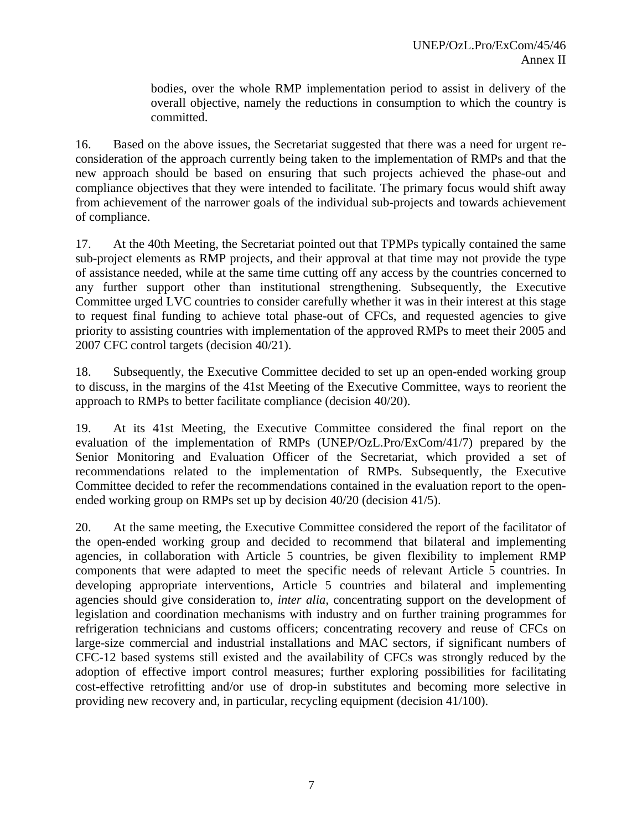bodies, over the whole RMP implementation period to assist in delivery of the overall objective, namely the reductions in consumption to which the country is committed.

16. Based on the above issues, the Secretariat suggested that there was a need for urgent reconsideration of the approach currently being taken to the implementation of RMPs and that the new approach should be based on ensuring that such projects achieved the phase-out and compliance objectives that they were intended to facilitate. The primary focus would shift away from achievement of the narrower goals of the individual sub-projects and towards achievement of compliance.

17. At the 40th Meeting, the Secretariat pointed out that TPMPs typically contained the same sub-project elements as RMP projects, and their approval at that time may not provide the type of assistance needed, while at the same time cutting off any access by the countries concerned to any further support other than institutional strengthening. Subsequently, the Executive Committee urged LVC countries to consider carefully whether it was in their interest at this stage to request final funding to achieve total phase-out of CFCs, and requested agencies to give priority to assisting countries with implementation of the approved RMPs to meet their 2005 and 2007 CFC control targets (decision 40/21).

18. Subsequently, the Executive Committee decided to set up an open-ended working group to discuss, in the margins of the 41st Meeting of the Executive Committee, ways to reorient the approach to RMPs to better facilitate compliance (decision 40/20).

19. At its 41st Meeting, the Executive Committee considered the final report on the evaluation of the implementation of RMPs (UNEP/OzL.Pro/ExCom/41/7) prepared by the Senior Monitoring and Evaluation Officer of the Secretariat, which provided a set of recommendations related to the implementation of RMPs. Subsequently, the Executive Committee decided to refer the recommendations contained in the evaluation report to the openended working group on RMPs set up by decision 40/20 (decision 41/5).

20. At the same meeting, the Executive Committee considered the report of the facilitator of the open-ended working group and decided to recommend that bilateral and implementing agencies, in collaboration with Article 5 countries, be given flexibility to implement RMP components that were adapted to meet the specific needs of relevant Article 5 countries. In developing appropriate interventions, Article 5 countries and bilateral and implementing agencies should give consideration to, *inter alia,* concentrating support on the development of legislation and coordination mechanisms with industry and on further training programmes for refrigeration technicians and customs officers; concentrating recovery and reuse of CFCs on large-size commercial and industrial installations and MAC sectors, if significant numbers of CFC-12 based systems still existed and the availability of CFCs was strongly reduced by the adoption of effective import control measures; further exploring possibilities for facilitating cost-effective retrofitting and/or use of drop-in substitutes and becoming more selective in providing new recovery and, in particular, recycling equipment (decision 41/100).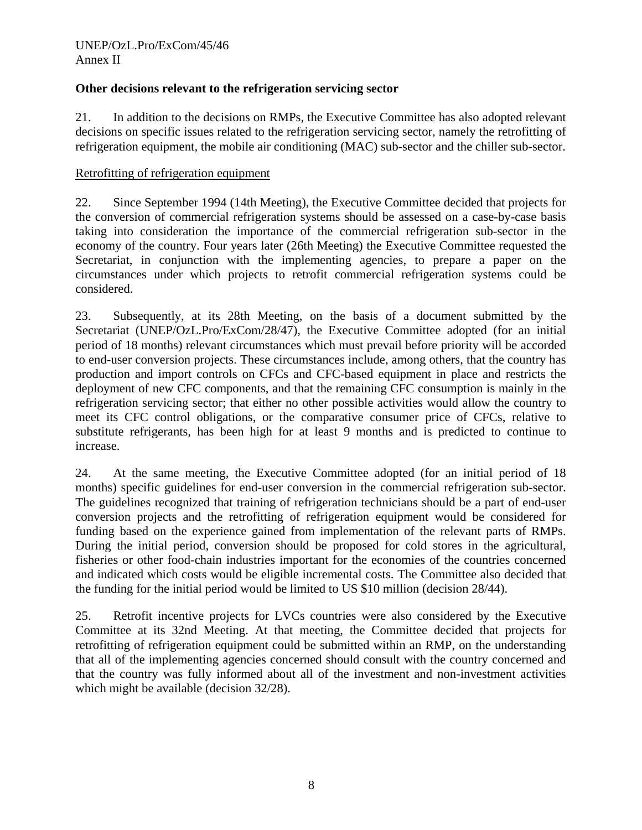### **Other decisions relevant to the refrigeration servicing sector**

21. In addition to the decisions on RMPs, the Executive Committee has also adopted relevant decisions on specific issues related to the refrigeration servicing sector, namely the retrofitting of refrigeration equipment, the mobile air conditioning (MAC) sub-sector and the chiller sub-sector.

#### Retrofitting of refrigeration equipment

22. Since September 1994 (14th Meeting), the Executive Committee decided that projects for the conversion of commercial refrigeration systems should be assessed on a case-by-case basis taking into consideration the importance of the commercial refrigeration sub-sector in the economy of the country. Four years later (26th Meeting) the Executive Committee requested the Secretariat, in conjunction with the implementing agencies, to prepare a paper on the circumstances under which projects to retrofit commercial refrigeration systems could be considered.

23. Subsequently, at its 28th Meeting, on the basis of a document submitted by the Secretariat (UNEP/OzL.Pro/ExCom/28/47), the Executive Committee adopted (for an initial period of 18 months) relevant circumstances which must prevail before priority will be accorded to end-user conversion projects. These circumstances include, among others, that the country has production and import controls on CFCs and CFC-based equipment in place and restricts the deployment of new CFC components, and that the remaining CFC consumption is mainly in the refrigeration servicing sector; that either no other possible activities would allow the country to meet its CFC control obligations, or the comparative consumer price of CFCs, relative to substitute refrigerants, has been high for at least 9 months and is predicted to continue to increase.

24. At the same meeting, the Executive Committee adopted (for an initial period of 18 months) specific guidelines for end-user conversion in the commercial refrigeration sub-sector. The guidelines recognized that training of refrigeration technicians should be a part of end-user conversion projects and the retrofitting of refrigeration equipment would be considered for funding based on the experience gained from implementation of the relevant parts of RMPs. During the initial period, conversion should be proposed for cold stores in the agricultural, fisheries or other food-chain industries important for the economies of the countries concerned and indicated which costs would be eligible incremental costs. The Committee also decided that the funding for the initial period would be limited to US \$10 million (decision 28/44).

25. Retrofit incentive projects for LVCs countries were also considered by the Executive Committee at its 32nd Meeting. At that meeting, the Committee decided that projects for retrofitting of refrigeration equipment could be submitted within an RMP, on the understanding that all of the implementing agencies concerned should consult with the country concerned and that the country was fully informed about all of the investment and non-investment activities which might be available (decision  $32/28$ ).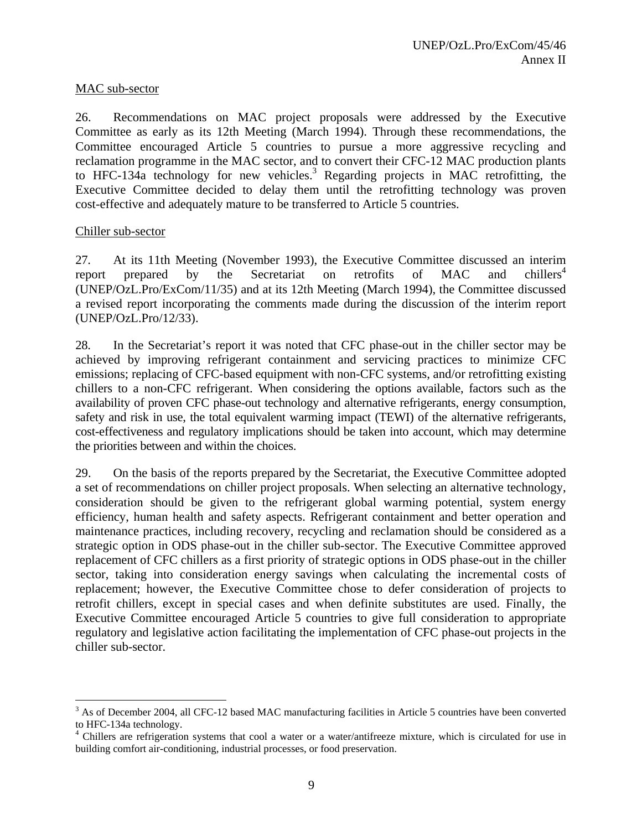#### MAC sub-sector

26. Recommendations on MAC project proposals were addressed by the Executive Committee as early as its 12th Meeting (March 1994). Through these recommendations, the Committee encouraged Article 5 countries to pursue a more aggressive recycling and reclamation programme in the MAC sector, and to convert their CFC-12 MAC production plants to HFC-134a technology for new vehicles.<sup>3</sup> Regarding projects in MAC retrofitting, the Executive Committee decided to delay them until the retrofitting technology was proven cost-effective and adequately mature to be transferred to Article 5 countries.

#### Chiller sub-sector

<u>.</u>

27. At its 11th Meeting (November 1993), the Executive Committee discussed an interim report prepared by the Secretariat on retrofits of MAC and chillers<sup>4</sup> (UNEP/OzL.Pro/ExCom/11/35) and at its 12th Meeting (March 1994), the Committee discussed a revised report incorporating the comments made during the discussion of the interim report (UNEP/OzL.Pro/12/33).

28. In the Secretariat's report it was noted that CFC phase-out in the chiller sector may be achieved by improving refrigerant containment and servicing practices to minimize CFC emissions; replacing of CFC-based equipment with non-CFC systems, and/or retrofitting existing chillers to a non-CFC refrigerant. When considering the options available, factors such as the availability of proven CFC phase-out technology and alternative refrigerants, energy consumption, safety and risk in use, the total equivalent warming impact (TEWI) of the alternative refrigerants, cost-effectiveness and regulatory implications should be taken into account, which may determine the priorities between and within the choices.

29. On the basis of the reports prepared by the Secretariat, the Executive Committee adopted a set of recommendations on chiller project proposals. When selecting an alternative technology, consideration should be given to the refrigerant global warming potential, system energy efficiency, human health and safety aspects. Refrigerant containment and better operation and maintenance practices, including recovery, recycling and reclamation should be considered as a strategic option in ODS phase-out in the chiller sub-sector. The Executive Committee approved replacement of CFC chillers as a first priority of strategic options in ODS phase-out in the chiller sector, taking into consideration energy savings when calculating the incremental costs of replacement; however, the Executive Committee chose to defer consideration of projects to retrofit chillers, except in special cases and when definite substitutes are used. Finally, the Executive Committee encouraged Article 5 countries to give full consideration to appropriate regulatory and legislative action facilitating the implementation of CFC phase-out projects in the chiller sub-sector.

 $3$  As of December 2004, all CFC-12 based MAC manufacturing facilities in Article 5 countries have been converted to HFC-134a technology.

<sup>&</sup>lt;sup>4</sup> Chillers are refrigeration systems that cool a water or a water/antifreeze mixture, which is circulated for use in building comfort air-conditioning, industrial processes, or food preservation.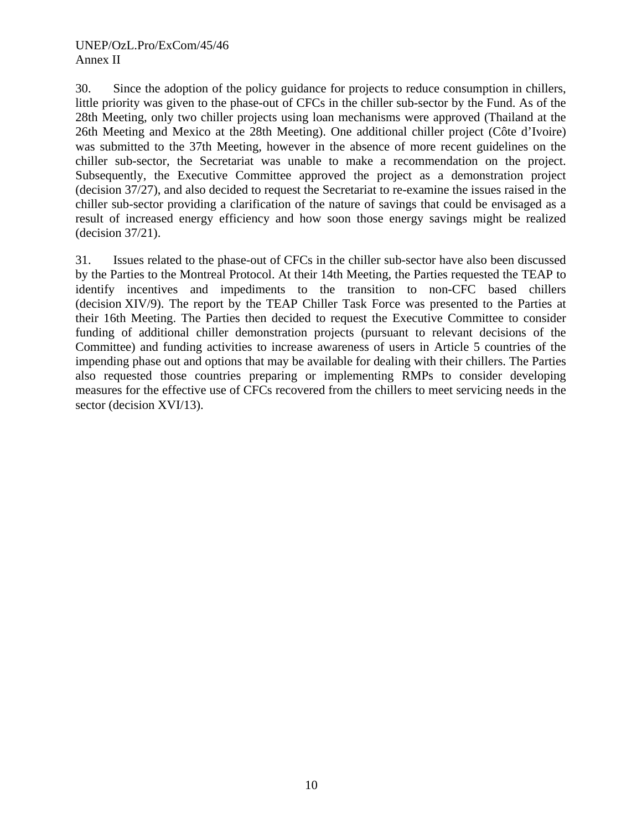30. Since the adoption of the policy guidance for projects to reduce consumption in chillers, little priority was given to the phase-out of CFCs in the chiller sub-sector by the Fund. As of the 28th Meeting, only two chiller projects using loan mechanisms were approved (Thailand at the 26th Meeting and Mexico at the 28th Meeting). One additional chiller project (Côte d'Ivoire) was submitted to the 37th Meeting, however in the absence of more recent guidelines on the chiller sub-sector, the Secretariat was unable to make a recommendation on the project. Subsequently, the Executive Committee approved the project as a demonstration project (decision 37/27), and also decided to request the Secretariat to re-examine the issues raised in the chiller sub-sector providing a clarification of the nature of savings that could be envisaged as a result of increased energy efficiency and how soon those energy savings might be realized (decision 37/21).

31. Issues related to the phase-out of CFCs in the chiller sub-sector have also been discussed by the Parties to the Montreal Protocol. At their 14th Meeting, the Parties requested the TEAP to identify incentives and impediments to the transition to non-CFC based chillers (decision XIV/9). The report by the TEAP Chiller Task Force was presented to the Parties at their 16th Meeting. The Parties then decided to request the Executive Committee to consider funding of additional chiller demonstration projects (pursuant to relevant decisions of the Committee) and funding activities to increase awareness of users in Article 5 countries of the impending phase out and options that may be available for dealing with their chillers. The Parties also requested those countries preparing or implementing RMPs to consider developing measures for the effective use of CFCs recovered from the chillers to meet servicing needs in the sector (decision XVI/13).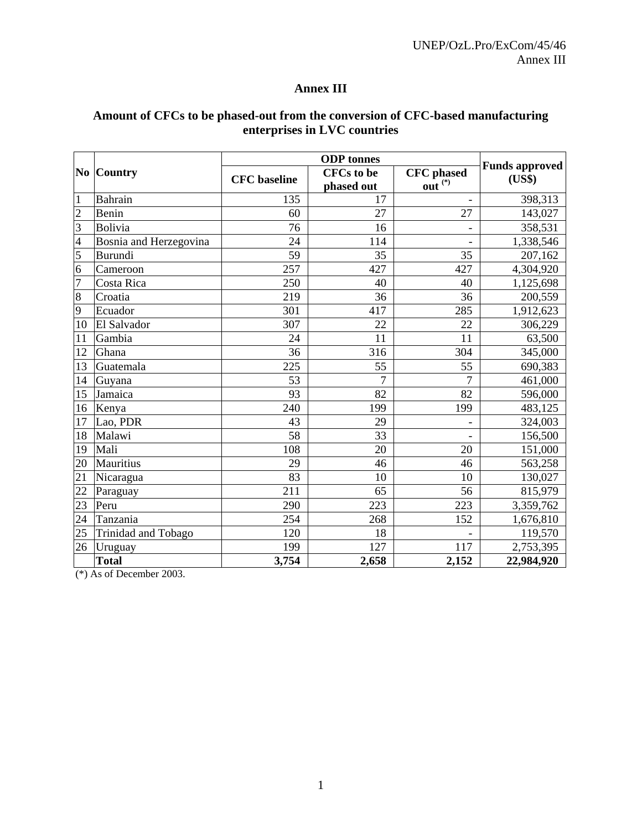# **Annex III**

# **Amount of CFCs to be phased-out from the conversion of CFC-based manufacturing enterprises in LVC countries**

| $\bf{No}$               | <b>Country</b>         | <b>CFC</b> baseline | <b>CFCs</b> to be | <b>CFC</b> phased            | <b>Funds approved</b><br>(US\$) |
|-------------------------|------------------------|---------------------|-------------------|------------------------------|---------------------------------|
|                         |                        |                     | phased out        | out $(*)$                    |                                 |
| $\mathbf{1}$            | Bahrain                | 135                 | 17                |                              | 398,313                         |
| $\overline{2}$          | Benin                  | 60                  | 27                | 27                           | 143,027                         |
| 3                       | <b>Bolivia</b>         | 76                  | 16                | -                            | 358,531                         |
| $\overline{\mathbf{4}}$ | Bosnia and Herzegovina | 24                  | 114               | $\qquad \qquad \blacksquare$ | 1,338,546                       |
| $\overline{5}$          | <b>Burundi</b>         | 59                  | 35                | 35                           | 207,162                         |
| 6                       | Cameroon               | 257                 | 427               | 427                          | 4,304,920                       |
| $\overline{7}$          | Costa Rica             | 250                 | 40                | 40                           | 1,125,698                       |
| $\,8\,$                 | Croatia                | 219                 | 36                | 36                           | 200,559                         |
| 9                       | Ecuador                | 301                 | 417               | 285                          | 1,912,623                       |
| 10                      | El Salvador            | 307                 | 22                | 22                           | 306,229                         |
| 11                      | Gambia                 | 24                  | 11                | 11                           | 63,500                          |
| 12                      | Ghana                  | 36                  | 316               | 304                          | 345,000                         |
| 13                      | Guatemala              | 225                 | 55                | 55                           | 690,383                         |
| 14                      | Guyana                 | 53                  | 7                 | 7                            | 461,000                         |
| 15                      | Jamaica                | 93                  | 82                | 82                           | 596,000                         |
| 16                      | Kenya                  | 240                 | 199               | 199                          | 483,125                         |
| 17                      | Lao, PDR               | 43                  | 29                | $\overline{\phantom{a}}$     | 324,003                         |
| 18                      | Malawi                 | 58                  | 33                |                              | 156,500                         |
| 19                      | Mali                   | 108                 | 20                | 20                           | 151,000                         |
| 20                      | <b>Mauritius</b>       | 29                  | 46                | 46                           | 563,258                         |
| 21                      | Nicaragua              | 83                  | 10                | 10                           | 130,027                         |
| 22                      | Paraguay               | 211                 | 65                | 56                           | 815,979                         |
| 23                      | Peru                   | 290                 | 223               | 223                          | 3,359,762                       |
| 24                      | Tanzania               | 254                 | 268               | 152                          | 1,676,810                       |
| 25                      | Trinidad and Tobago    | 120                 | 18                |                              | 119,570                         |
| 26                      | Uruguay                | 199                 | 127               | 117                          | $\overline{2,}753,395$          |
|                         | <b>Total</b>           | 3,754               | 2,658             | 2,152                        | 22,984,920                      |

(\*) As of December 2003.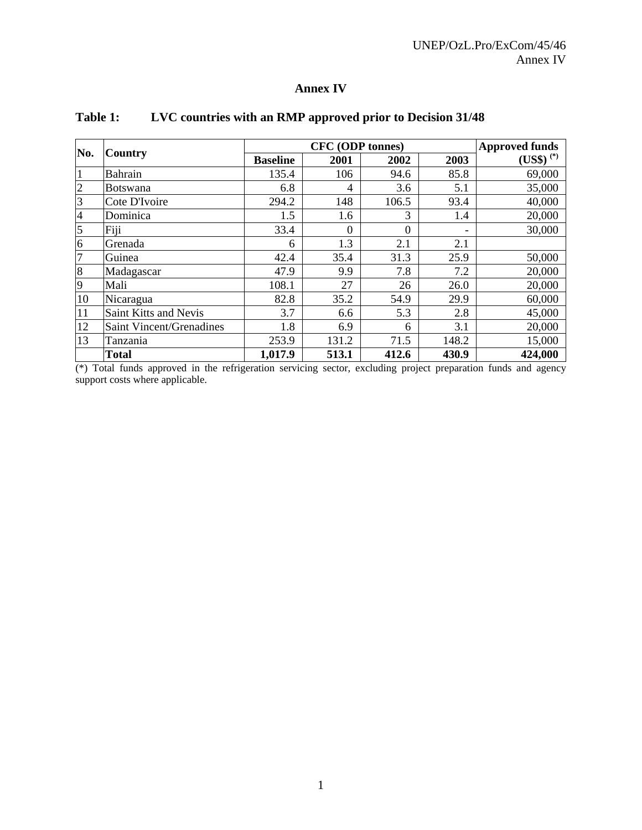# **Annex IV**

|                |                                 |                 | <b>Approved funds</b> |       |       |               |
|----------------|---------------------------------|-----------------|-----------------------|-------|-------|---------------|
| No.            | Country                         | <b>Baseline</b> | 2001                  | 2002  | 2003  | $(US$)^{(*)}$ |
|                | <b>Bahrain</b>                  | 135.4           | 106                   | 94.6  | 85.8  | 69,000        |
| $\overline{c}$ | <b>Botswana</b>                 | 6.8             | 4                     | 3.6   | 5.1   | 35,000        |
| 3              | Cote D'Ivoire                   | 294.2           | 148                   | 106.5 | 93.4  | 40,000        |
| $\overline{4}$ | Dominica                        | 1.5             | 1.6                   | 3     | 1.4   | 20,000        |
| $\overline{5}$ | Fiji                            | 33.4            | $\theta$              | 0     | -     | 30,000        |
| 6              | Grenada                         | 6               | 1.3                   | 2.1   | 2.1   |               |
| $\overline{7}$ | Guinea                          | 42.4            | 35.4                  | 31.3  | 25.9  | 50,000        |
| 8              | Madagascar                      | 47.9            | 9.9                   | 7.8   | 7.2   | 20,000        |
| 9              | Mali                            | 108.1           | 27                    | 26    | 26.0  | 20,000        |
| 10             | Nicaragua                       | 82.8            | 35.2                  | 54.9  | 29.9  | 60,000        |
| 11             | Saint Kitts and Nevis           | 3.7             | 6.6                   | 5.3   | 2.8   | 45,000        |
| 12             | <b>Saint Vincent/Grenadines</b> | 1.8             | 6.9                   | 6     | 3.1   | 20,000        |
| 13             | Tanzania                        | 253.9           | 131.2                 | 71.5  | 148.2 | 15,000        |
|                | <b>Total</b>                    | 1,017.9         | 513.1                 | 412.6 | 430.9 | 424,000       |

# **Table 1: LVC countries with an RMP approved prior to Decision 31/48**

(\*) Total funds approved in the refrigeration servicing sector, excluding project preparation funds and agency support costs where applicable.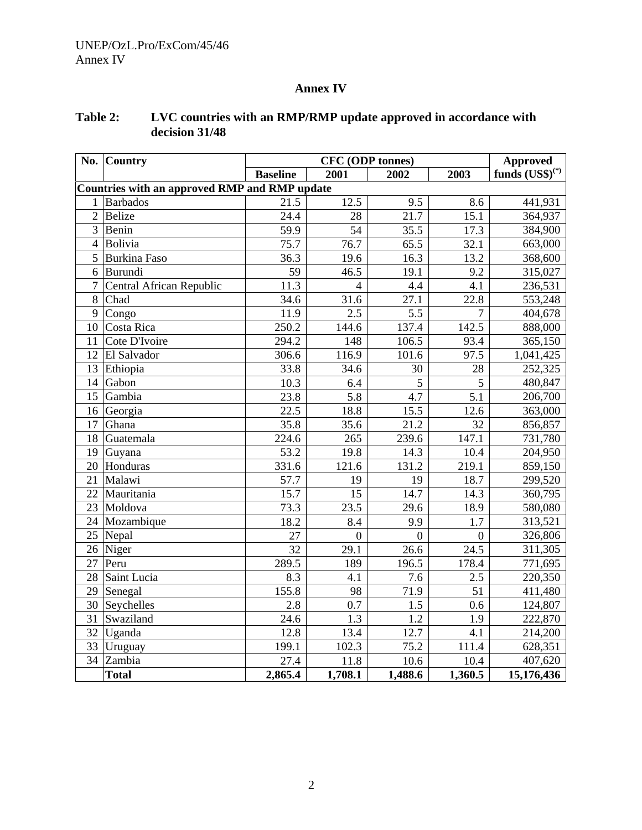# **Annex IV**

| No.                                                  | <b>Country</b>           | <b>CFC</b> (ODP tonnes) |                  |              |                  | Approved                                 |  |
|------------------------------------------------------|--------------------------|-------------------------|------------------|--------------|------------------|------------------------------------------|--|
|                                                      |                          | <b>Baseline</b>         | 2001             | 2002         | 2003             | funds $\left( \text{US}\$ \right)^{(*)}$ |  |
| <b>Countries with an approved RMP and RMP update</b> |                          |                         |                  |              |                  |                                          |  |
| 1                                                    | <b>Barbados</b>          | 21.5                    | 12.5             | 9.5          | 8.6              | 441,931                                  |  |
| $\overline{2}$                                       | Belize                   | 24.4                    | 28               | 21.7         | 15.1             | 364,937                                  |  |
| $\overline{3}$                                       | Benin                    | 59.9                    | 54               | 35.5         | 17.3             | 384,900                                  |  |
| $\overline{4}$                                       | Bolivia                  | 75.7                    | 76.7             | 65.5         | 32.1             | 663,000                                  |  |
| 5                                                    | <b>Burkina Faso</b>      | 36.3                    | 19.6             | 16.3         | 13.2             | 368,600                                  |  |
| 6                                                    | Burundi                  | 59                      | 46.5             | 19.1         | 9.2              | 315,027                                  |  |
| $\overline{7}$                                       | Central African Republic | 11.3                    | $\overline{4}$   | 4.4          | 4.1              | 236,531                                  |  |
| 8                                                    | Chad                     | 34.6                    | 31.6             | 27.1         | 22.8             | 553,248                                  |  |
| 9                                                    | Congo                    | 11.9                    | 2.5              | 5.5          | 7                | 404,678                                  |  |
|                                                      | 10 Costa Rica            | 250.2                   | 144.6            | 137.4        | 142.5            | 888,000                                  |  |
| 11                                                   | Cote D'Ivoire            | 294.2                   | 148              | 106.5        | 93.4             | 365,150                                  |  |
| 12                                                   | El Salvador              | 306.6                   | 116.9            | 101.6        | 97.5             | 1,041,425                                |  |
| 13                                                   | Ethiopia                 | 33.8                    | 34.6             | 30           | 28               | 252,325                                  |  |
| 14                                                   | Gabon                    | 10.3                    | 6.4              | 5            | 5                | 480,847                                  |  |
| 15                                                   | Gambia                   | 23.8                    | 5.8              | 4.7          | 5.1              | 206,700                                  |  |
|                                                      | 16 Georgia               | 22.5                    | 18.8             | 15.5         | 12.6             | 363,000                                  |  |
| 17                                                   | Ghana                    | 35.8                    | 35.6             | 21.2         | 32               | 856,857                                  |  |
| 18                                                   | Guatemala                | 224.6                   | 265              | 239.6        | 147.1            | 731,780                                  |  |
| 19                                                   | Guyana                   | 53.2                    | 19.8             | 14.3         | 10.4             | 204,950                                  |  |
| 20                                                   | Honduras                 | 331.6                   | 121.6            | 131.2        | 219.1            | 859,150                                  |  |
| 21                                                   | Malawi                   | 57.7                    | 19               | 19           | 18.7             | 299,520                                  |  |
| 22                                                   | Mauritania               | 15.7                    | 15               | 14.7         | 14.3             | 360,795                                  |  |
| 23                                                   | Moldova                  | 73.3                    | 23.5             | 29.6         | 18.9             | 580,080                                  |  |
| 24                                                   | Mozambique               | 18.2                    | 8.4              | 9.9          | 1.7              | 313,521                                  |  |
| 25                                                   | Nepal                    | 27                      | $\boldsymbol{0}$ | $\mathbf{0}$ | $\boldsymbol{0}$ | 326,806                                  |  |
|                                                      | 26 Niger                 | 32                      | 29.1             | 26.6         | 24.5             | 311,305                                  |  |
| 27                                                   | Peru                     | 289.5                   | 189              | 196.5        | 178.4            | 771,695                                  |  |
| 28                                                   | Saint Lucia              | 8.3                     | 4.1              | 7.6          | 2.5              | 220,350                                  |  |
|                                                      | 29 Senegal               | 155.8                   | 98               | 71.9         | 51               | 411,480                                  |  |
|                                                      | 30 Seychelles            | 2.8                     | 0.7              | 1.5          | 0.6              | 124,807                                  |  |
| 31                                                   | Swaziland                | 24.6                    | 1.3              | 1.2          | 1.9              | 222,870                                  |  |
|                                                      | 32 Uganda                | 12.8                    | 13.4             | 12.7         | 4.1              | 214,200                                  |  |
|                                                      | 33 Uruguay               | 199.1                   | 102.3            | 75.2         | 111.4            | 628,351                                  |  |
| 34                                                   | Zambia                   | 27.4                    | 11.8             | 10.6         | 10.4             | 407,620                                  |  |
|                                                      | <b>Total</b>             | 2,865.4                 | 1,708.1          | 1,488.6      | 1,360.5          | 15,176,436                               |  |

# **Table 2: LVC countries with an RMP/RMP update approved in accordance with decision 31/48**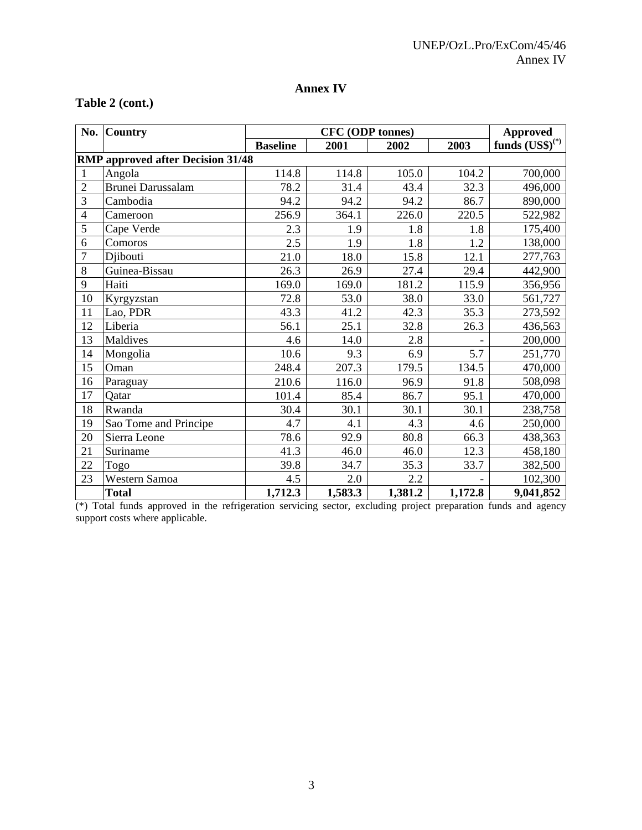# **Annex IV**

## **Table 2 (cont.)**

| No.                                      | <b>Country</b>           |                 | <b>Approved</b> |         |         |                         |  |
|------------------------------------------|--------------------------|-----------------|-----------------|---------|---------|-------------------------|--|
|                                          |                          | <b>Baseline</b> | 2001            | 2002    | 2003    | funds $(US\$ {S})^{(*)} |  |
| <b>RMP</b> approved after Decision 31/48 |                          |                 |                 |         |         |                         |  |
| 1                                        | Angola                   | 114.8           | 114.8           | 105.0   | 104.2   | 700,000                 |  |
| $\overline{2}$                           | <b>Brunei Darussalam</b> | 78.2            | 31.4            | 43.4    | 32.3    | 496,000                 |  |
| 3                                        | Cambodia                 | 94.2            | 94.2            | 94.2    | 86.7    | 890,000                 |  |
| $\overline{4}$                           | Cameroon                 | 256.9           | 364.1           | 226.0   | 220.5   | 522,982                 |  |
| 5                                        | Cape Verde               | 2.3             | 1.9             | 1.8     | 1.8     | 175,400                 |  |
| 6                                        | Comoros                  | 2.5             | 1.9             | 1.8     | 1.2     | 138,000                 |  |
| $\overline{7}$                           | Djibouti                 | 21.0            | 18.0            | 15.8    | 12.1    | 277,763                 |  |
| 8                                        | Guinea-Bissau            | 26.3            | 26.9            | 27.4    | 29.4    | 442,900                 |  |
| 9                                        | Haiti                    | 169.0           | 169.0           | 181.2   | 115.9   | 356,956                 |  |
| 10                                       | Kyrgyzstan               | 72.8            | 53.0            | 38.0    | 33.0    | 561,727                 |  |
| 11                                       | Lao, PDR                 | 43.3            | 41.2            | 42.3    | 35.3    | 273,592                 |  |
| 12                                       | Liberia                  | 56.1            | 25.1            | 32.8    | 26.3    | 436,563                 |  |
| 13                                       | Maldives                 | 4.6             | 14.0            | 2.8     |         | 200,000                 |  |
| 14                                       | Mongolia                 | 10.6            | 9.3             | 6.9     | 5.7     | 251,770                 |  |
| 15                                       | Oman                     | 248.4           | 207.3           | 179.5   | 134.5   | 470,000                 |  |
| 16                                       | Paraguay                 | 210.6           | 116.0           | 96.9    | 91.8    | 508,098                 |  |
| 17                                       | Qatar                    | 101.4           | 85.4            | 86.7    | 95.1    | 470,000                 |  |
| 18                                       | Rwanda                   | 30.4            | 30.1            | 30.1    | 30.1    | 238,758                 |  |
| 19                                       | Sao Tome and Principe    | 4.7             | 4.1             | 4.3     | 4.6     | 250,000                 |  |
| 20                                       | Sierra Leone             | 78.6            | 92.9            | 80.8    | 66.3    | 438,363                 |  |
| 21                                       | Suriname                 | 41.3            | 46.0            | 46.0    | 12.3    | 458,180                 |  |
| 22                                       | Togo                     | 39.8            | 34.7            | 35.3    | 33.7    | 382,500                 |  |
| 23                                       | Western Samoa            | 4.5             | 2.0             | 2.2     |         | 102,300                 |  |
|                                          | <b>Total</b>             | 1,712.3         | 1,583.3         | 1,381.2 | 1,172.8 | 9,041,852               |  |

(\*) Total funds approved in the refrigeration servicing sector, excluding project preparation funds and agency support costs where applicable.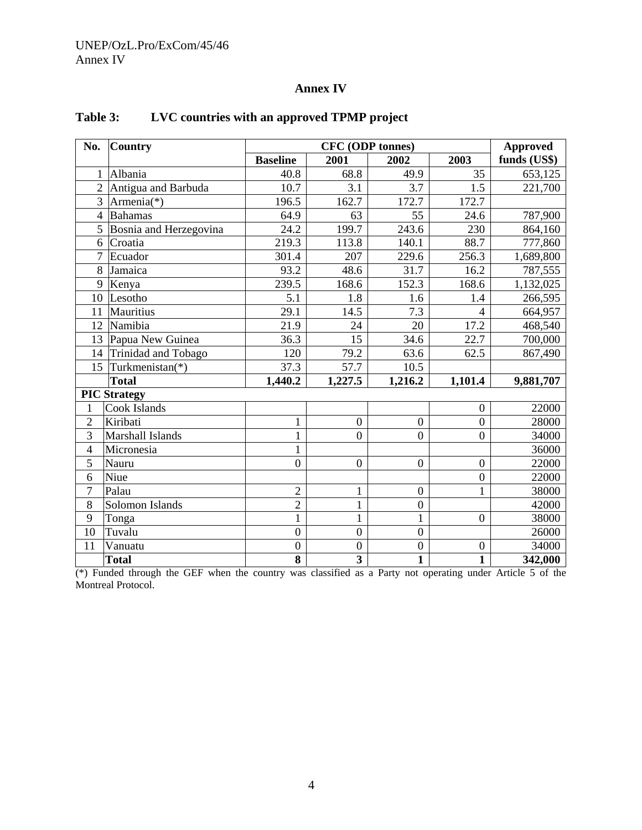#### UNEP/OzL.Pro/ExCom/45/46 Annex IV

# **Annex IV**

| No.            | <b>Country</b>         | <b>CFC</b> (ODP tonnes) |                         |                  |                   | <b>Approved</b> |
|----------------|------------------------|-------------------------|-------------------------|------------------|-------------------|-----------------|
|                |                        | <b>Baseline</b>         | 2001                    | 2002             | 2003              | funds (US\$)    |
| 1              | Albania                | 40.8                    | 68.8                    | 49.9             | 35                | 653,125         |
| $\overline{2}$ | Antigua and Barbuda    | 10.7                    | 3.1                     | 3.7              | 1.5               | 221,700         |
| 3              | Armenia(*)             | 196.5                   | 162.7                   | 172.7            | 172.7             |                 |
| $\overline{4}$ | <b>Bahamas</b>         | 64.9                    | 63                      | 55               | 24.6              | 787,900         |
| 5              | Bosnia and Herzegovina | 24.2                    | 199.7                   | 243.6            | 230               | 864,160         |
| 6              | Croatia                | 219.3                   | 113.8                   | 140.1            | 88.7              | 777,860         |
| $\overline{7}$ | Ecuador                | 301.4                   | 207                     | 229.6            | 256.3             | 1,689,800       |
| 8              | Jamaica                | 93.2                    | 48.6                    | 31.7             | 16.2              | 787,555         |
| 9              | Kenya                  | 239.5                   | 168.6                   | 152.3            | 168.6             | 1,132,025       |
| 10             | Lesotho                | 5.1                     | 1.8                     | 1.6              | 1.4               | 266,595         |
| 11             | <b>Mauritius</b>       | 29.1                    | 14.5                    | 7.3              | $\overline{4}$    | 664,957         |
| 12             | Namibia                | 21.9                    | 24                      | 20               | 17.2              | 468,540         |
| 13             | Papua New Guinea       | 36.3                    | 15                      | 34.6             | 22.7              | 700,000         |
| 14             | Trinidad and Tobago    | 120                     | 79.2                    | 63.6             | $\overline{62.5}$ | 867,490         |
| 15             | Turkmenistan(*)        | 37.3                    | 57.7                    | 10.5             |                   |                 |
|                | <b>Total</b>           | 1,440.2                 | 1,227.5                 | 1,216.2          | 1,101.4           | 9,881,707       |
|                | <b>PIC Strategy</b>    |                         |                         |                  |                   |                 |
| 1              | Cook Islands           |                         |                         |                  | $\mathbf{0}$      | 22000           |
| $\overline{2}$ | Kiribati               | $\mathbf{1}$            | $\boldsymbol{0}$        | $\boldsymbol{0}$ | $\overline{0}$    | 28000           |
| 3              | Marshall Islands       | $\mathbf{1}$            | $\overline{0}$          | $\overline{0}$   | $\overline{0}$    | 34000           |
| $\overline{4}$ | Micronesia             | $\mathbf 1$             |                         |                  |                   | 36000           |
| 5              | Nauru                  | $\boldsymbol{0}$        | $\overline{0}$          | $\boldsymbol{0}$ | $\mathbf{0}$      | 22000           |
| 6              | Niue                   |                         |                         |                  | $\overline{0}$    | 22000           |
| $\overline{7}$ | Palau                  | $\overline{2}$          | $\mathbf{1}$            | $\boldsymbol{0}$ | $\mathbf{1}$      | 38000           |
| 8              | Solomon Islands        | $\overline{2}$          | $\mathbf{1}$            | $\boldsymbol{0}$ |                   | 42000           |
| 9              | Tonga                  | $\mathbf{1}$            | $\mathbf{1}$            | $\mathbf{1}$     | $\overline{0}$    | 38000           |
| 10             | Tuvalu                 | $\overline{0}$          | $\overline{0}$          | $\boldsymbol{0}$ |                   | 26000           |
| 11             | Vanuatu                | $\overline{0}$          | $\boldsymbol{0}$        | $\boldsymbol{0}$ | $\mathbf{0}$      | 34000           |
|                | <b>Total</b>           | 8                       | $\overline{\mathbf{3}}$ | $\mathbf{1}$     | $\mathbf{1}$      | 342,000         |

# **Table 3: LVC countries with an approved TPMP project**

(\*) Funded through the GEF when the country was classified as a Party not operating under Article 5 of the Montreal Protocol.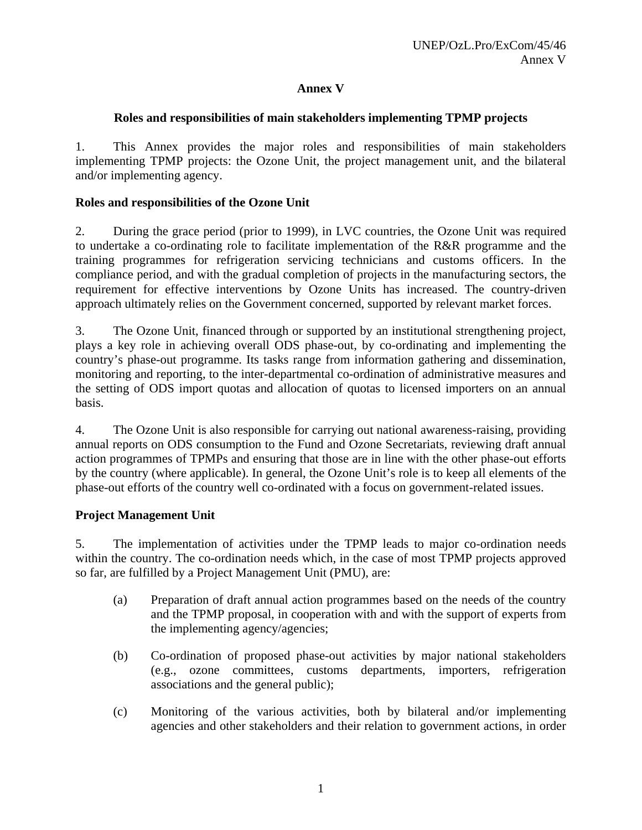## **Annex V**

### **Roles and responsibilities of main stakeholders implementing TPMP projects**

1. This Annex provides the major roles and responsibilities of main stakeholders implementing TPMP projects: the Ozone Unit, the project management unit, and the bilateral and/or implementing agency.

## **Roles and responsibilities of the Ozone Unit**

2. During the grace period (prior to 1999), in LVC countries, the Ozone Unit was required to undertake a co-ordinating role to facilitate implementation of the R&R programme and the training programmes for refrigeration servicing technicians and customs officers. In the compliance period, and with the gradual completion of projects in the manufacturing sectors, the requirement for effective interventions by Ozone Units has increased. The country-driven approach ultimately relies on the Government concerned, supported by relevant market forces.

3. The Ozone Unit, financed through or supported by an institutional strengthening project, plays a key role in achieving overall ODS phase-out, by co-ordinating and implementing the country's phase-out programme. Its tasks range from information gathering and dissemination, monitoring and reporting, to the inter-departmental co-ordination of administrative measures and the setting of ODS import quotas and allocation of quotas to licensed importers on an annual basis.

4. The Ozone Unit is also responsible for carrying out national awareness-raising, providing annual reports on ODS consumption to the Fund and Ozone Secretariats, reviewing draft annual action programmes of TPMPs and ensuring that those are in line with the other phase-out efforts by the country (where applicable). In general, the Ozone Unit's role is to keep all elements of the phase-out efforts of the country well co-ordinated with a focus on government-related issues.

### **Project Management Unit**

5. The implementation of activities under the TPMP leads to major co-ordination needs within the country. The co-ordination needs which, in the case of most TPMP projects approved so far, are fulfilled by a Project Management Unit (PMU), are:

- (a) Preparation of draft annual action programmes based on the needs of the country and the TPMP proposal, in cooperation with and with the support of experts from the implementing agency/agencies;
- (b) Co-ordination of proposed phase-out activities by major national stakeholders (e.g., ozone committees, customs departments, importers, refrigeration associations and the general public);
- (c) Monitoring of the various activities, both by bilateral and/or implementing agencies and other stakeholders and their relation to government actions, in order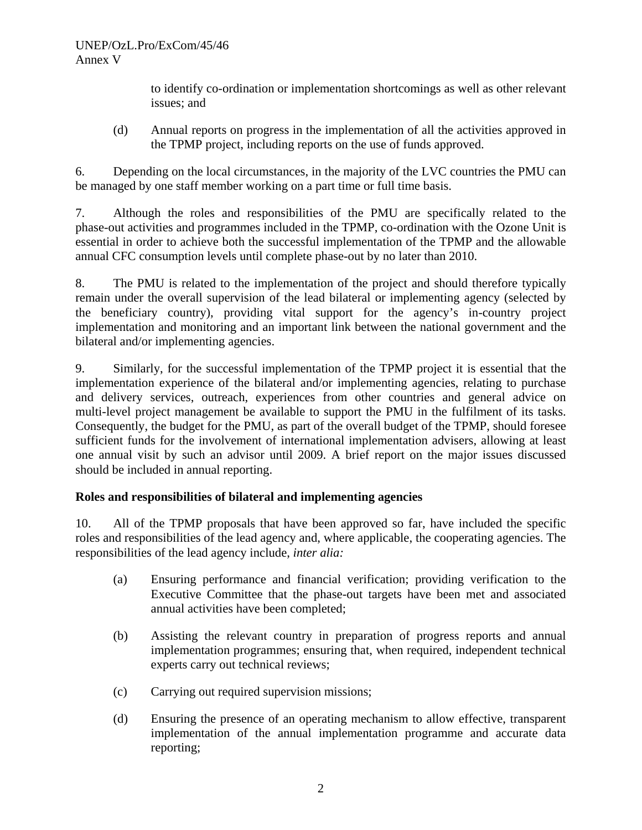to identify co-ordination or implementation shortcomings as well as other relevant issues; and

(d) Annual reports on progress in the implementation of all the activities approved in the TPMP project, including reports on the use of funds approved.

6. Depending on the local circumstances, in the majority of the LVC countries the PMU can be managed by one staff member working on a part time or full time basis.

7. Although the roles and responsibilities of the PMU are specifically related to the phase-out activities and programmes included in the TPMP, co-ordination with the Ozone Unit is essential in order to achieve both the successful implementation of the TPMP and the allowable annual CFC consumption levels until complete phase-out by no later than 2010.

8. The PMU is related to the implementation of the project and should therefore typically remain under the overall supervision of the lead bilateral or implementing agency (selected by the beneficiary country), providing vital support for the agency's in-country project implementation and monitoring and an important link between the national government and the bilateral and/or implementing agencies.

9. Similarly, for the successful implementation of the TPMP project it is essential that the implementation experience of the bilateral and/or implementing agencies, relating to purchase and delivery services, outreach, experiences from other countries and general advice on multi-level project management be available to support the PMU in the fulfilment of its tasks. Consequently, the budget for the PMU, as part of the overall budget of the TPMP, should foresee sufficient funds for the involvement of international implementation advisers, allowing at least one annual visit by such an advisor until 2009. A brief report on the major issues discussed should be included in annual reporting.

# **Roles and responsibilities of bilateral and implementing agencies**

10. All of the TPMP proposals that have been approved so far, have included the specific roles and responsibilities of the lead agency and, where applicable, the cooperating agencies. The responsibilities of the lead agency include, *inter alia:*

- (a) Ensuring performance and financial verification; providing verification to the Executive Committee that the phase-out targets have been met and associated annual activities have been completed;
- (b) Assisting the relevant country in preparation of progress reports and annual implementation programmes; ensuring that, when required, independent technical experts carry out technical reviews;
- (c) Carrying out required supervision missions;
- (d) Ensuring the presence of an operating mechanism to allow effective, transparent implementation of the annual implementation programme and accurate data reporting;